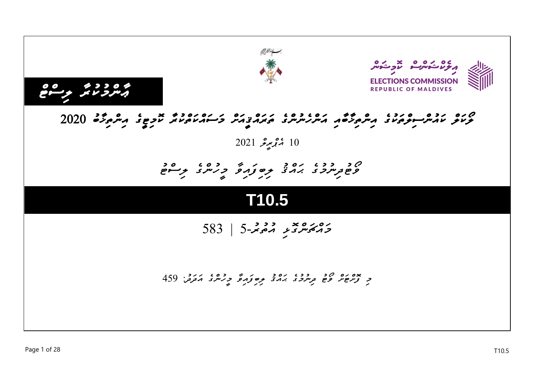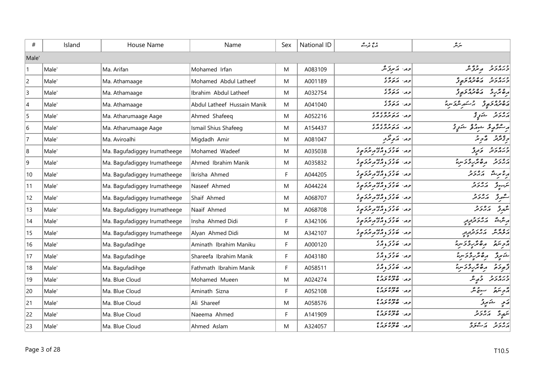| #              | Island | House Name                   | Name                        | Sex       | National ID | ، ه ، بر <u>م</u>                                  | ىئرىتر                                                                                                                                                                                                                           |
|----------------|--------|------------------------------|-----------------------------|-----------|-------------|----------------------------------------------------|----------------------------------------------------------------------------------------------------------------------------------------------------------------------------------------------------------------------------------|
| Male'          |        |                              |                             |           |             |                                                    |                                                                                                                                                                                                                                  |
|                | Male'  | Ma. Arifan                   | Mohamed Irfan               | M         | A083109     | وړ کمیوتر ټر                                       | כנסנכ הבצית                                                                                                                                                                                                                      |
| 2              | Male'  | Ma. Athamaage                | Mohamed Abdul Latheef       | M         | A001189     | גני גי                                             | ورەر د رەپەر ۋ                                                                                                                                                                                                                   |
| $\vert$ 3      | Male'  | Ma. Athamaage                | Ibrahim Abdul Latheef       | M         | A032754     | גני ג'<br>כגי ג'ם בצ                               | 0200 0200 0200 0                                                                                                                                                                                                                 |
| $\overline{4}$ | Male'  | Ma. Athamaage                | Abdul Latheef Hussain Manik | M         | A041040     | גני ג'<br>כג' ג'ם בצ                               | גם כם גם פי הבית ייריק בית ייריק בית ייריק בית ייריק בית ייריק בית ייריק בית ייריק בית ייריק בית ייריק בית ייר<br>המוספת המוקד בית ייריק בית ייריק בית ייריק בית ייריק בית ייריק בית ייריק בית ייריק בית ייריק בית ייריק בית ייר |
| $\overline{5}$ | Male'  | Ma. Atharumaage Aage         | Ahmed Shafeeq               | M         | A052216     | C G C G T I J<br>S A S I X G A · A I               | د د د د سکوړنځ                                                                                                                                                                                                                   |
| $\overline{6}$ | Male'  | Ma. Atharumaage Aage         | Ismail Shius Shafeeg        | M         | A154437     | C 4 C 4 3 1 1<br>S A 5 3 X 5 A · A 3               | ر موڪرو ڪردھ ڪري                                                                                                                                                                                                                 |
| 7              | Male'  | Ma. Aviroalhi                | Migdadh Amir                | M         | A081047     | حەر بە كەنبە<br>مەنبە                              | د ژوگر تر گرمر                                                                                                                                                                                                                   |
| $\overline{8}$ | Male'  | Ma. Bagufadiggey Irumatheege | Mohamed Wadeef              | M         | A035038     | ת כן יסבר במציע בין היידי<br>המי יסבר במצמידי בין  | دره رو در رو<br>  دبر دبر در موتور                                                                                                                                                                                               |
| 9              | Male'  | Ma. Bagufadiggey Irumatheege | Ahmed Ibrahim Manik         | M         | A035832     |                                                    | גפנק השתנקבעית                                                                                                                                                                                                                   |
| $ 10\rangle$   | Male'  | Ma. Bagufadiggey Irumatheege | Ikrisha Ahmed               | F         | A044205     | ת כן 20 כן 2<br>כן שצת 20 באבר בקיצ                | مركا برسك مركز ورو                                                                                                                                                                                                               |
| 11             | Male'  | Ma. Bagufadiggey Irumatheege | Naseef Ahmed                | M         | A044224     | ת כן יסבר במידע בין היידיקי<br>בודי יסבר במידע דער | برورد<br>ىئرىب ۋ                                                                                                                                                                                                                 |
| 12             | Male'  | Ma. Bagufadiggey Irumatheege | Shaif Ahmed                 | M         | A068707     | ת כן 20 כן 2<br>כן שצציאמציק בקב                   | سەرىق<br>پروژو                                                                                                                                                                                                                   |
| 13             | Male'  | Ma. Bagufadiggey Irumatheege | Naaif Ahmed                 | ${\sf M}$ | A068708     | ת כן 20 כן 2<br>כן סצן גמצמיקים                    | شمرو برەر د                                                                                                                                                                                                                      |
| 14             | Male'  | Ma. Bagufadiggey Irumatheege | Insha Ahmed Didi            | F         | A342106     | ת כן 20 כן 2<br>כן שצציאמציק בקב                   | ىر سرىشە<br>ر ٥ ر ۶ تورىر<br>د بر <del>د</del> تر تو تو                                                                                                                                                                          |
| 15             | Male'  | Ma. Bagufadiggey Irumatheege | Alyan Ahmed Didi            | ${\sf M}$ | A342107     | ת כן 20 כן 2<br>כן שצת 20 באבר בקיצ                | ره و مه ده د ورور<br>مرورش مدرو ترتریر                                                                                                                                                                                           |
| 16             | Male'  | Ma. Bagufadihge              | Aminath Ibrahim Maniku      | F         | A000120     | 59350.72                                           | ە ھەمەر 25 سرىر<br>بەھەمەر 25 سرىر<br>أرمز بنرو                                                                                                                                                                                  |
| 17             | Male'  | Ma. Bagufadihge              | Shareefa Ibrahim Manik      | F         | A043180     | 59230.75                                           | وە ئۇرۇد ئىر<br>ڪ مورڱر<br>پ                                                                                                                                                                                                     |
| 18             | Male'  | Ma. Bagufadihge              | Fathmath Ibrahim Manik      | F         | A058511     | $rac{1}{5}$                                        | ם מיתוכ ביתו<br>תוסית וכביתו<br>و بر د<br>ترجو خو                                                                                                                                                                                |
| 19             | Male'  | Ma. Blue Cloud               | Mohamed Mueen               | M         | A024274     |                                                    | و ره ر و<br><i>د ټ</i> رگر تر<br>څ مه سر                                                                                                                                                                                         |
| 20             | Male'  | Ma. Blue Cloud               | Aminath Sizna               | F         | A052108     |                                                    | أأترسمو<br>سے پچ میگر                                                                                                                                                                                                            |
| 21             | Male'  | Ma. Blue Cloud               | Ali Shareef                 | M         | A058576     | 0.500000                                           | ړکمو د سکونوژ                                                                                                                                                                                                                    |
| 22             | Male'  | Ma. Blue Cloud               | Naeema Ahmed                | F         | A141909     |                                                    | سَمِيرةً<br>پرور و                                                                                                                                                                                                               |
| 23             | Male'  | Ma. Blue Cloud               | Ahmed Aslam                 | ${\sf M}$ | A324057     |                                                    | ړه رو پر عرو                                                                                                                                                                                                                     |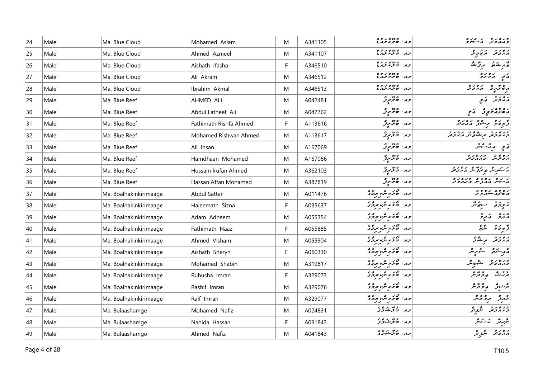| 24 | Male' | Ma. Blue Cloud         | Mohamed Aslam          | M  | A341105 |                                  | ورەر د رەرە                                                                    |
|----|-------|------------------------|------------------------|----|---------|----------------------------------|--------------------------------------------------------------------------------|
| 25 | Male' | Ma. Blue Cloud         | Ahmed Azmeel           | M  | A341107 |                                  | دەر د د د چ                                                                    |
| 26 | Male' | Ma. Blue Cloud         | Aishath Ifasha         | F  | A346510 |                                  | مەر ئىكى مۇڭ                                                                   |
| 27 | Male' | Ma. Blue Cloud         | Ali Akram              | M  | A346512 |                                  | أە ئەمە ئەرە                                                                   |
| 28 | Male' | Ma. Blue Cloud         | Ibrahim Akmal          | M  | A346513 |                                  | ە ھەترىرى<br>م<br>پره پره                                                      |
| 29 | Male' | Ma. Blue Reef          | AHMED ALI              | M  | A042481 | כו ים ציתו.<br>כו ים ציתו.       | رەرد كې                                                                        |
| 30 | Male' | Ma. Blue Reef          | Abdul Latheef Ali      | M  | A047762 | כו. לציתור<br>כו. לציתור         | קסכס בית הית                                                                   |
| 31 | Male' | Ma. Blue Reef          | Fathimath Rishfa Ahmed | F  | A113616 | כו. לציתור<br>כו. לציתור         | توجود برشن برورد                                                               |
| 32 | Male' | Ma. Blue Reef          | Mohamed Rishwan Ahmed  | M  | A113617 | כו. ליצית ל<br>כו. ליצית ל       | ورەر د مەھەر دەر د<br><i>دىد</i> رونر برىشوشر مەرونر                           |
| 33 | Male' | Ma. Blue Reef          | Ali Ihsan              | M  | A167069 | כו. סיבתנ                        | أەنىي مەر شىشر                                                                 |
| 34 | Male' | Ma. Blue Reef          | Hamdhaan Mohamed       | M  | A167086 | כו. לצית ל<br>כו. לצית ל         | ره ده دره دو<br>پروترس وبرمانو                                                 |
| 35 | Male' | Ma. Blue Reef          | Hussain Irufan Ahmed   | M  | A362103 | כו. לצית ל                       | ر مسکور می همرور مدارد و برای برای کرد.<br>بر مسکور میکرور مدارد برای کرد کرد. |
| 36 | Male' | Ma. Blue Reef          | Hassan Affan Mohamed   | M  | A387819 | כו. לצית ל<br>כו. לצית ל         | ر ره ده ده دره دد                                                              |
| 37 | Male' | Ma. Boalhakinkirimaage | <b>Abdul Sattar</b>    | M  | A011476 |                                  | גם כם גם זיכ<br>גם <i>ב</i> גוג הוה <i>ה</i> יב                                |
| 38 | Male' | Ma. Boalhakinkirimaage | Haleemath Sizna        | F  | A035637 |                                  | أيَبِيرَ وَحَمْدَ السِّرْعَ مِنْدَ                                             |
| 39 | Male' | Ma. Boalhakinkirimaage | Adam Adheem            | M  | A055354 |                                  | أثرترو أترتدح                                                                  |
| 40 | Male' | Ma. Boalhakinkirimaage | Fathimath Naaz         | F  | A055885 | בו לעולט בבל<br>כו לעולט בבל     | و څو څخه د<br>سرچ                                                              |
| 41 | Male' | Ma. Boalhakinkirimaage | Ahmed Visham           | M  | A055904 |                                  | ره رو در مشور<br>پرېدونر گوشور                                                 |
| 42 | Male' | Ma. Boalhakinkirimaage | Aishath Sheryn         | F  | A060330 |                                  | ر<br>دگرار شکوهی<br>ڪ مريگر                                                    |
| 43 | Male' | Ma. Boalhakinkirimaage | Mohamed Shabin         | M  | A319817 |                                  | و ر ه ر د<br>تر پر تر تر<br>شەھ س                                              |
| 44 | Male' | Ma. Boalhakinkirimaage | Ruhusha Imran          | F  | A329073 |                                  | ە جە ئەرەر<br>برزينه                                                           |
| 45 | Male' | Ma. Boalhakinkirimaage | Rashif Imran           | M  | A329076 |                                  | ەر ئەشر<br>بۇيىسى <i>ۋ</i>                                                     |
| 46 | Male' | Ma. Boalhakinkirimaage | Raif Imran             | M  | A329077 | בו לעולט בבי                     | بمرو رومهر                                                                     |
| 47 | Male' | Ma. Bulaashamge        | Mohamed Nafiz          | M  | A024831 | وړ٠ ه توڅنوي د ٥<br>وړ٠ ه توڅنوي | و ر ه ر و<br>تر پر تر تر<br>سگونگر                                             |
| 48 | Male' | Ma. Bulaashamge        | Nahida Hassan          | F. | A031843 | وړ٠ ه تو شو د د                  | لتربرقر الاستاند                                                               |
| 49 | Male' | Ma. Bulaashamge        | Ahmed Nafiz            | M  | A041843 | وړ٠ ه توڅر ده د                  | برەر ئە ئىگرىش                                                                 |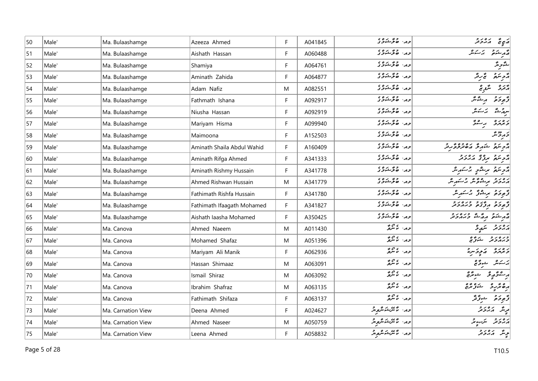| 50 | Male' | Ma. Bulaashamge    | Azeeza Ahmed               | F         | A041845 | وړ٠ ه تو شوو و                         | أرشي في متحفر                          |
|----|-------|--------------------|----------------------------|-----------|---------|----------------------------------------|----------------------------------------|
| 51 | Male' | Ma. Bulaashamge    | Aishath Hassan             | F         | A060488 | وړ٠ ه توڅنوي د                         | ۇرىشكۇ بەسكىر                          |
| 52 | Male' | Ma. Bulaashamge    | Shamiya                    | F         | A064761 | وړ٠ ه توڅو ته د د                      | المشردتر                               |
| 53 | Male' | Ma. Bulaashamge    | Aminath Zahida             | F         | A064877 | وړ٠ ه وگوره د د                        | أروسكو<br>ىچ پەتتر                     |
| 54 | Male' | Ma. Bulaashamge    | Adam Nafiz                 | ${\sf M}$ | A082551 | وړ٠ ه گرشو د د د                       | سَّعْرِ ح<br>پور ہ<br>پرتونژ           |
| 55 | Male' | Ma. Bulaashamge    | Fathmath Ishana            | F         | A092917 | وړ٠ ه گرشو د د د                       | توجوخو برجنگر                          |
| 56 | Male' | Ma. Bulaashamge    | Niusha Hassan              | F         | A092919 | وړ٠ ه تو شو د د د                      | سركر يمكسكر                            |
| 57 | Male' | Ma. Bulaashamge    | Mariyam Hisma              | F         | A099940 | وړ٠ ه توڅو ته د د                      | دەرە بەردە                             |
| 58 | Male' | Ma. Bulaashamge    | Maimoona                   | F         | A152503 | وړ . ه وڅو د ده پ                      | ىر دەنئە                               |
| 59 | Male' | Ma. Bulaashamge    | Aminath Shaila Abdul Wahid | F         | A160409 | وړ٠ ه وگوره د د                        | أأدبره الشركة الماه ودوالا             |
| 60 | Male' | Ma. Bulaashamge    | Aminath Rifga Ahmed        | F         | A341333 | وړ٠ ه توڅنوي ده<br>در٠ ه توڅنوي        | أأدج سكم المروج المراد والمراد         |
| 61 | Male' | Ma. Bulaashamge    | Aminath Rishmy Hussain     | F         | A341778 | وړ . هڅشو دی                           | أأوسر والمستحوج بركسكر                 |
| 62 | Male' | Ma. Bulaashamge    | Ahmed Rishwan Hussain      | M         | A341779 | حەر . ھۇشكى <i>2 ي</i>                 | رەرو برخۇش پرىشرىش                     |
| 63 | Male' | Ma. Bulaashamge    | Fathimath Rishfa Hussain   | F         | A341780 | وړ . ه توڅنونو ته<br>وړ . ه توڅنونو ته | قەردە برخۇ جاسىرىك                     |
| 64 | Male' | Ma. Bulaashamge    | Fathimath Ifaagath Mohamed | F         | A341827 | وړ٠ هڅشو <i>د</i> ٠                    | و د د ورود دره د د                     |
| 65 | Male' | Ma. Bulaashamge    | Aishath laasha Mohamed     | F         | A350425 | وړ٠ هڅشوي                              | ومشوق مقشة وبرودو                      |
| 66 | Male' | Ma. Canova         | Ahmed Naeem                | M         | A011430 | وړ ، ماسرچ                             | أرەر ئىدە                              |
| 67 | Male' | Ma. Canova         | Mohamed Shafaz             | M         | A051396 | ړه .<br>د د سرچ                        | وره رو دره ه<br><i>د ب</i> رو تر شور چ |
| 68 | Male' | Ma. Canova         | Mariyam Ali Manik          | F         | A062936 | وړ٠ ماسي                               | د مره د د د دره                        |
| 69 | Male' | Ma. Canova         | Hassan Shimaaz             | ${\sf M}$ | A063091 | وړ ، ماسرچ                             | ىر كەشرا سەرگامى                       |
| 70 | Male' | Ma. Canova         | Ismail Shiraz              | M         | A063092 | وړ ، ماسرهٔ                            | ر سر د چې د سرچينې                     |
| 71 | Male' | Ma. Canova         | Ibrahim Shafraz            | M         | A063135 | وړ ، ماسره                             | $rac{0}{2}$                            |
| 72 | Male' | Ma. Canova         | Fathimath Shifaza          | F         | A063137 | وړ ، ماسرچ                             | قَهْ وَحَمْ حَوَّقَدَّ                 |
| 73 | Male' | Ma. Carnation View | Deena Ahmed                | F         | A024627 | وړ٠ تر تر شو ش <sub>ره پ</sub> ر       | ورنگر برور و                           |
| 74 | Male' | Ma. Carnation View | Ahmed Naseer               | M         | A050759 | وړ٠ تر شو شو شر <i>و</i> ش             | رەر دىكى ئىسىمى                        |
| 75 | Male' | Ma. Carnation View | Leena Ahmed                | F         | A058832 | حەر بە ئەنگەن ئىسى بىر                 | وینگ در جرح د                          |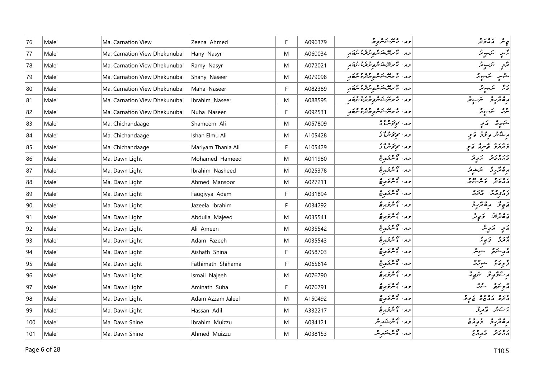| 76           | Male' | Ma. Carnation View            | Zeena Ahmed        | F         | A096379 | وړ٠ تر شو شوه پر                                                                                                              | پې شکړې کړه کر د                                                                                    |
|--------------|-------|-------------------------------|--------------------|-----------|---------|-------------------------------------------------------------------------------------------------------------------------------|-----------------------------------------------------------------------------------------------------|
| 77           | Male' | Ma. Carnation View Dhekunubai | Hany Nasyr         | M         | A060034 | وړ٠ ته پرس شور پرور سره بر<br>در٠ ته پرس شور پرور ته سره بر                                                                   | رمسي الكرب يتمر                                                                                     |
| 78           | Male' | Ma. Carnation View Dhekunubai | Ramy Nasyr         | M         | A072021 | حەر، ئامرىكرىشكىر <sub>ى</sub> بولدىن ئىرھەر<br>ئ                                                                             | ن <sup>و</sup> د سرسوند                                                                             |
| 79           | Male' | Ma. Carnation View Dhekunubai | Shany Naseer       | M         | A079098 | وړ٠ ته پرس ده و د و ور<br>وړ٠ ته پرس شوسرو مرفر ته سره د                                                                      | ىئرسونىر<br>اڪٽس<br>ا                                                                               |
| 80           | Male' | Ma. Carnation View Dhekunubai | Maha Naseer        | F         | A082389 | وړ٠ ته په ده وه وه د ور<br>وړ٠ ته پرس شوسرو مرفر ته سره د                                                                     | ىر ئىسىرىمى<br>ئىستىمى                                                                              |
| 81           | Male' | Ma. Carnation View Dhekunubai | Ibrahim Naseer     | M         | A088595 | وړ٠ ته پرس شور پرور سره د<br>در٠ ته پرس شور پرور سره د                                                                        | ەر ھەتئەر <i>ج</i><br>ىئرسونر                                                                       |
| 82           | Male' | Ma. Carnation View Dhekunubai | Nuha Naseer        | F.        | A092531 | وړ٠ ته پرس شور پر در د ور<br>در٠ ته پرس شور پر پر پر په پر                                                                    | المربح الكرسولمر<br>المرب <sup>ع</sup>                                                              |
| 83           | Male' | Ma. Chichandaage              | Shameem Ali        | M         | A057809 | ور کمچوشو د                                                                                                                   | شَوَوْ كَمَوْ                                                                                       |
| 84           | Male' | Ma. Chichandaage              | Ishan Elmu Ali     | M         | A105428 | در کوکوشو د                                                                                                                   | رڅشر ږود کړ                                                                                         |
| 85           | Male' | Ma. Chichandaage              | Mariyam Thania Ali | F         | A105429 | $\frac{1}{2}$ $\frac{1}{2}$ $\frac{1}{2}$ $\frac{1}{2}$ $\frac{1}{2}$ $\frac{1}{2}$ $\frac{1}{2}$ $\frac{1}{2}$ $\frac{1}{2}$ | دەرە ئوسد كور                                                                                       |
| 86           | Male' | Ma. Dawn Light                | Mohamed Hameed     | M         | A011980 |                                                                                                                               |                                                                                                     |
| 87           | Male' | Ma. Dawn Light                | Ibrahim Nasheed    | M         | A025378 | $rac{1}{2}$                                                                                                                   | ەر ھەترىر <i>3</i><br>سكرشوقر                                                                       |
| 88           | Male' | Ma. Dawn Light                | Ahmed Mansoor      | M         | A027211 |                                                                                                                               | رەرە رەپەر<br>مەروىر ۋىرىبومر                                                                       |
| 89           | Male' | Ma. Dawn Light                | Faugiyya Adam      | F         | A031894 | $rac{1}{2}$                                                                                                                   | و ده و دره                                                                                          |
| $ 90\rangle$ | Male' | Ma. Dawn Light                | Jazeela Ibrahim    | F         | A034292 | وربا محاشره و                                                                                                                 | ق ئ ئ ئ م ھ ئر پر 3                                                                                 |
| 91           | Male' | Ma. Dawn Light                | Abdulla Majeed     | ${\sf M}$ | A035541 | $rac{1}{2}$                                                                                                                   | <mark>بر25</mark> لله<br>تر مح فر                                                                   |
| 92           | Male' | Ma. Dawn Light                | Ali Ameen          | M         | A035542 |                                                                                                                               | أەي مەربى                                                                                           |
| 93           | Male' | Ma. Dawn Light                | Adam Fazeeh        | M         | A035543 |                                                                                                                               | أزوده وياره                                                                                         |
| 94           | Male' | Ma. Dawn Light                | Aishath Shina      | F         | A058703 |                                                                                                                               | و مر شو د<br>مرکز شو می<br>شومگر                                                                    |
| 95           | Male' | Ma. Dawn Light                | Fathimath Shihama  | F         | A065614 | وربا محاشرهم                                                                                                                  | وَجوحَمَ شَوَرَّدَّ                                                                                 |
| 96           | Male' | Ma. Dawn Light                | Ismail Najeeh      | M         | A076790 | حەر، مى ش <i>ېخى</i> رى<br>ئ                                                                                                  | ر مشتر الله عن الله من الله من الله من الله من الله من الله من الله من الله من الله من الله من الله |
| 97           | Male' | Ma. Dawn Light                | Aminath Suha       | F         | A076791 | وربا محامرهم                                                                                                                  | أرمح سرائح سنرس                                                                                     |
| 98           | Male' | Ma. Dawn Light                | Adam Azzam Jaleel  | M         | A150492 | $rac{1}{2}$                                                                                                                   | أرده ره ده د د د                                                                                    |
| 99           | Male' | Ma. Dawn Light                | Hassan Adil        | M         | A332217 |                                                                                                                               | پرستہ پر مہیں مہیں ک                                                                                |
| 100          | Male' | Ma. Dawn Shine                | Ibrahim Muizzu     | M         | A034121 | در، عمل شهر ش                                                                                                                 |                                                                                                     |
| 101          | Male' | Ma. Dawn Shine                | Ahmed Muizzu       | M         | A038153 | حەر، ئىچ ھرىشكەر بىر                                                                                                          | גם גם ברים                                                                                          |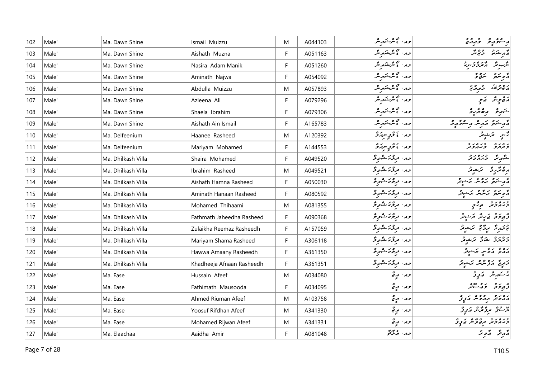| 102 | Male' | Ma. Dawn Shine     | Ismail Muizzu             | M           | A044103 | حەر، كې ھرىشكەر بىر                      | وستؤرق ومروح                                                   |
|-----|-------|--------------------|---------------------------|-------------|---------|------------------------------------------|----------------------------------------------------------------|
| 103 | Male' | Ma. Dawn Shine     | Aishath Muzna             | F           | A051163 | حەر، كې ھرىشكەر بىر                      | أورشوه وه و                                                    |
| 104 | Male' | Ma. Dawn Shine     | Nasira Adam Manik         | $\mathsf F$ | A051260 | حەر، كى ھرىشكەر بىر                      | و ده د در د<br>مترسومتر                                        |
| 105 | Male' | Ma. Dawn Shine     | Aminath Najwa             | F           | A054092 | حەر، كې ھرىشكەر بىر                      | ىر ە بە<br>سرچ خ<br>ړ څر سرچ                                   |
| 106 | Male' | Ma. Dawn Shine     | Abdulla Muizzu            | M           | A057893 | حەر، ، ئامىرىشىمەسىر                     | برە تراللە<br>30 ב 20<br>הממיד                                 |
| 107 | Male' | Ma. Dawn Shine     | Azleena Ali               | $\mathsf F$ | A079296 | حەر، كې ھرىشكەر بىر                      | ړ ه پر په کا                                                   |
| 108 | Male' | Ma. Dawn Shine     | Shaela Ibrahim            | F           | A079306 | حەر، كى ھرىشىم ھ                         | شركت رەھمىر                                                    |
| 109 | Male' | Ma. Dawn Shine     | Aishath Ain Ismail        | $\mathsf F$ | A165783 | حەر، كې ھرىشكەر بىر                      | ה<br>הגיבור הגיל הייכתי                                        |
| 110 | Male' | Ma. Delfeenium     | Haanee Rasheed            | M           | A120392 | دە.، ئۇ ئۇستەۋ                           | <br> رسم مرسور                                                 |
| 111 | Male' | Ma. Delfeenium     | Mariyam Mohamed           | $\mathsf F$ | A144553 | دە.، ؟ ۋې سەر ۋ                          | ر ه ر ه<br><del>د</del> بربرگر<br>و رە ر د<br><i>د ب</i> رگرىز |
| 112 | Male' | Ma. Dhilkash Villa | Shaira Mohamed            | F           | A049520 | وړ٠ تروکاڪوگ                             | و ره ر د<br>تر پر ژمر<br>ڪوپر                                  |
| 113 | Male' | Ma. Dhilkash Villa | Ibrahim Rasheed           | M           | A049521 | دە. بروتۇنشورۇ                           | رەتزىر ترىنونر                                                 |
| 114 | Male' | Ma. Dhilkash Villa | Aishath Hamna Rasheed     | F           | A050030 | وړ· ترڅرنم شو <sub>ن</sub> و څ           | د.<br>د کار شوی برو نگر برشونر                                 |
| 115 | Male' | Ma. Dhilkash Villa | Aminath Hanaan Rasheed    | $\mathsf F$ | A080592 | ور. <sub>مر</sub> وك <sub>ا شور</sub> وً | أأوسم بالأبار برجود                                            |
| 116 | Male' | Ma. Dhilkash Villa | Mohamed Thihaami          | M           | A081355 | وړ· تروکا شور ځ                          | ورەرو پەر                                                      |
| 117 | Male' | Ma. Dhilkash Villa | Fathmath Jaheedha Rasheed | F           | A090368 | <i>دە</i> بىر ئۇ <i>ئەنقى</i> ئە         | و دو درو پر پردو                                               |
| 118 | Male' | Ma. Dhilkash Villa | Zulaikha Reemaz Rasheedh  | F.          | A157059 | وړ٠ تر <i>وړ ک</i> مو وگ                 | أتحركم ومحمد المستور                                           |
| 119 | Male' | Ma. Dhilkash Villa | Mariyam Shama Rasheed     | F           | A306118 | وړ٠ تروکاڪووگ                            | ره ره شرق برشوتر                                               |
| 120 | Male' | Ma. Dhilkash Villa | Hawwa Amaany Rasheedh     | F           | A361350 | دە. بروتۇت شەھ ۋ                         | روء رؤس ترجيد                                                  |
| 121 | Male' | Ma. Dhilkash Villa | Khadheeja Afnaan Rasheedh | $\mathsf F$ | A361351 | <i>دە. بو</i> دىم شورگە                  | تزىرى كەن ئۇس كەشونى                                           |
| 122 | Male' | Ma. Ease           | Hussain Afeef             | M           | A034080 | ور. دیج                                  | يز سەر شەر ئەر ئە                                              |
| 123 | Male' | Ma. Ease           | Fathimath Mausooda        | F           | A034095 | ور. دیج                                  |                                                                |
| 124 | Male' | Ma. Ease           | Ahmed Riuman Afeef        | M           | A103758 | ور. رقع                                  | ג' ביב ברי ביירי ה' ביצי                                       |
| 125 | Male' | Ma. Ease           | Yoosuf Rifdhan Afeef      | M           | A341330 | ور. رقع                                  | در دو بروترند ړَړو                                             |
| 126 | Male' | Ma. Ease           | Mohamed Rijwan Afeef      | M           | A341331 | ور. رقع                                  | ورەرو برەۋش مۇرۇ                                               |
| 127 | Male' | Ma. Elaachaa       | Aaidha Amir               | F           | A081048 | وړ کرنځ                                  | أمرمر مجموعه                                                   |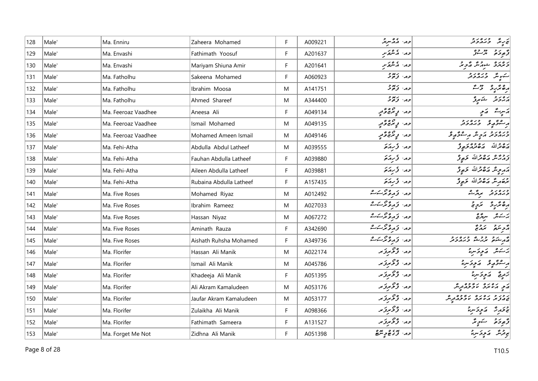| 128 | Male' | Ma. Enniru          | Zaheera Mohamed         | F           | A009221 | در. مگر سرچ                                                                                                                                                                                                                      | و رە ر د<br>تر پر تر تر<br> ئىمە پەتتىر      |
|-----|-------|---------------------|-------------------------|-------------|---------|----------------------------------------------------------------------------------------------------------------------------------------------------------------------------------------------------------------------------------|----------------------------------------------|
| 129 | Male' | Ma. Envashi         | Fathimath Yoosuf        | F           | A201637 | ور. مگرچمبر                                                                                                                                                                                                                      | تڙ جو تر ج<br>ېژىستۇ                         |
| 130 | Male' | Ma. Envashi         | Mariyam Shiuna Amir     | $\mathsf F$ | A201641 | در بمعتقبر                                                                                                                                                                                                                       | במתכ בינמ" לכת                               |
| 131 | Male' | Ma. Fatholhu        | Sakeena Mohamed         | F           | A060923 | ر پر در در در در در این کار در این کار در این کار در این دارد باشد.<br>در این کوهای کار در این کار در این کار در این کار در این کار در این کار دیگر در این کار در این کار در این کار                                             | و ر ه ر و<br><i>و پر</i> و تر<br>سە بە ئىگە  |
| 132 | Male' | Ma. Fatholhu        | Ibrahim Moosa           | M           | A141751 | ر پر در در در در بار در این کار در این کار در این کار در این کار در این کار در این کار در این کار در این کار د<br>مردم در این کار در این کار در این کار در این کار در این کار در این کار در این کار در این کار در این کار در این | رەپرى <sub>ر</sub> و ۋى                      |
| 133 | Male' | Ma. Fatholhu        | Ahmed Shareef           | M           | A344400 | ر پر در در در در بار در این کار در این کار در این کار در این کار در این کار در این کار در این کار در این کار د<br>مردم در این کار در این کار در این کار در این کار در این کار در این کار در این کار در این کار در این کار در این | رەرد خىرۇ                                    |
| 134 | Male' | Ma. Feeroaz Vaadhee | Aneesa Ali              | F           | A049134 |                                                                                                                                                                                                                                  | ړېږگ کړې                                     |
| 135 | Male' | Ma. Feeroaz Vaadhee | Ismail Mohamed          | M           | A049135 | وړ٠ وٍ ټر پخو تو تو                                                                                                                                                                                                              | و عرضي وره دو                                |
| 136 | Male' | Ma. Feeroaz Vaadhee | Mohamed Ameen Ismail    | M           | A049146 | حەر بەلىمى ھەر                                                                                                                                                                                                                   |                                              |
| 137 | Male' | Ma. Fehi-Atha       | Abdulla Abdul Latheef   | M           | A039555 | ور. ۇرىئە                                                                                                                                                                                                                        | ره و الله مص <i>مره خ</i> مونو               |
| 138 | Male' | Ma. Fehi-Atha       | Fauhan Abdulla Latheef  | $\mathsf F$ | A039880 | در و رژهٔ                                                                                                                                                                                                                        | ر دیده بره قرالله ځېږي                       |
| 139 | Male' | Ma. Fehi-Atha       | Aileen Abdulla Latheef  | F           | A039881 | در کو روځ                                                                                                                                                                                                                        | وزمر ويثر وكافتها الله تحتفي فلتحجي ومحتلج   |
| 140 | Male' | Ma. Fehi-Atha       | Rubaina Abdulla Latheef | F           | A157435 | ور. ڈرمی                                                                                                                                                                                                                         | برقد بثر مكافرالله لحبور                     |
| 141 | Male' | Ma. Five Roses      | Mohamed Riyaz           | M           | A012492 | בו נופיל ב                                                                                                                                                                                                                       | ورەرو بروگ                                   |
| 142 | Male' | Ma. Five Roses      | Ibrahim Rameez          | M           | A027033 | وړ٠ وَړو پر ۵ ک                                                                                                                                                                                                                  | رە ئۆر ئەرى                                  |
| 143 | Male' | Ma. Five Roses      | Hassan Niyaz            | M           | A067272 | وړ٠ وَړو پر ک                                                                                                                                                                                                                    | ير سكر مسر مركز على السرائع                  |
| 144 | Male' | Ma. Five Roses      | Aminath Rauza           | F           | A342690 | دە. زەۋەرىنە                                                                                                                                                                                                                     | أأجرسكم بمرادع                               |
| 145 | Male' | Ma. Five Roses      | Aishath Ruhsha Mohamed  | F           | A349736 | در ورومرے                                                                                                                                                                                                                        | ه در در دوره در در در د                      |
| 146 | Male' | Ma. Florifer        | Hassan Ali Manik        | M           | A022174 | در وی بروند                                                                                                                                                                                                                      | يُسْتَمَرُّ أَيُرْدِدُ مِنْ                  |
| 147 | Male' | Ma. Florifer        | Ismail Ali Manik        | M           | A045786 | دە· ۋىۋىرى <i>گە</i>                                                                                                                                                                                                             |                                              |
| 148 | Male' | Ma. Florifer        | Khadeeja Ali Manik      | F           | A051395 | وە · ۇگۈيرى<br>مە                                                                                                                                                                                                                | وكموخر سربر                                  |
| 149 | Male' | Ma. Florifer        | Ali Akram Kamaludeen    | M           | A053176 | رە بىرە ئىلىنىدىكى ئىل                                                                                                                                                                                                           | ב בא מי מי ביני בי                           |
| 150 | Male' | Ma. Florifer        | Jaufar Akram Kamaludeen | M           | A053177 | جه وعريز                                                                                                                                                                                                                         | קבק ב קסקס קפרס קס<br>במציג העיגב עביבה עניי |
| 151 | Male' | Ma. Florifer        | Zulaikha Ali Manik      | F.          | A098366 | در. وگورونر                                                                                                                                                                                                                      | تم تحمير تشام تحرير تحمير المحمد             |
| 152 | Male' | Ma. Florifer        | Fathimath Sameera       | $\mathsf F$ | A131527 | دەر، ۋېجىرىمە                                                                                                                                                                                                                    | ڙوڌو ڪريڙ                                    |
| 153 | Male' | Ma. Forget Me Not   | Zidhna Ali Manik        | F           | A051398 | ورسي ده و مده                                                                                                                                                                                                                    | برقرش كالمجافر مربا                          |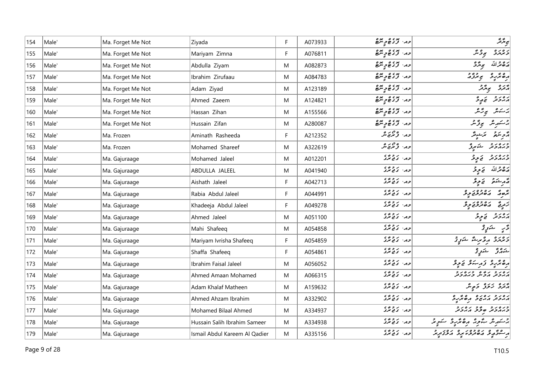| 154 | Male' | Ma. Forget Me Not | Ziyada                        | F  | A073933 | وربع وعاميده                    | ىج م <sup>ە</sup> رتىگە<br>م                                                                                            |
|-----|-------|-------------------|-------------------------------|----|---------|---------------------------------|-------------------------------------------------------------------------------------------------------------------------|
| 155 | Male' | Ma. Forget Me Not | Mariyam Zimna                 | F  | A076811 | وربع ومعرفة فللمع               | ر ه ر ه<br>  <del>ر</del> بربر ژ<br>ىبوۋىتر                                                                             |
| 156 | Male' | Ma. Forget Me Not | Abdulla Ziyam                 | M  | A082873 | ورسي ده و موه                   | <mark>بر صور</mark> الله<br>سم پر گر<br>سمبر گر                                                                         |
| 157 | Male' | Ma. Forget Me Not | Ibrahim Zirufaau              | M  | A084783 |                                 | و دیو د<br>سی مرز ک<br>ەر ھەترىر <i>3</i>                                                                               |
| 158 | Male' | Ma. Forget Me Not | Adam Ziyad                    | M  | A123189 | وربع وعاميده                    | پر دو<br>  پر تر جو سی پر تر تر                                                                                         |
| 159 | Male' | Ma. Forget Me Not | Ahmed Zaeem                   | M  | A124821 | وربع ومعرفة ومعرفة              | أرور و مردو                                                                                                             |
| 160 | Male' | Ma. Forget Me Not | Hassan Zihan                  | M  | A155566 | وړ٠ تر د ع د مره                | يرسەش پېرتىر                                                                                                            |
| 161 | Male' | Ma. Forget Me Not | Hussain Zifan                 | M  | A280087 |                                 | 2 سەر شىرە ئىرىدىكى<br>مەسىر                                                                                            |
| 162 | Male' | Ma. Frozen        | Aminath Rasheeda              | F  | A212352 | وړ ویږه په                      | أأترجم ترجع                                                                                                             |
| 163 | Male' | Ma. Frozen        | Mohamed Shareef               | M  | A322619 | כו <sub>ב</sub> י ציבים ל       | ورەر دىمبۇ                                                                                                              |
| 164 | Male' | Ma. Gajuraage     | Mohamed Jaleel                | M  | A012201 | ر و ده د<br>و در کی مرد         | ورەرو ئەرو                                                                                                              |
| 165 | Male' | Ma. Gajuraage     | ABDULLA JALEEL                | M  | A041940 | ر و د ه د<br>وړ کو ځمونو        | ەھىراللە<br>تع و ثحر                                                                                                    |
| 166 | Male' | Ma. Gajuraage     | Aishath Jaleel                | F  | A042713 | ر د د ه د<br>وړ کومخ مرد        | أأراد أنفر وأرادهم                                                                                                      |
| 167 | Male' | Ma. Gajuraage     | Rabia Abdul Jaleel            | F  | A044991 | ر د ده د<br>وړ کو تو تور        |                                                                                                                         |
| 168 | Male' | Ma. Gajuraage     | Khadeeja Abdul Jaleel         | F  | A049278 | ر و ده د<br>وړ کو تو بوی        | زَمِرِيَّ   رَەقْرَوْيَ وِ وَ                                                                                           |
| 169 | Male' | Ma. Gajuraage     | Ahmed Jaleel                  | M  | A051100 | ر د ده د<br>وړ کو تو تور        | بروزة في ويح                                                                                                            |
| 170 | Male' | Ma. Gajuraage     | Mahi Shafeeq                  | M  | A054858 | ر د و ه د<br>و د ک ت مرد        | ا د چې د شوړ ته کارونو کې له د او له کارونو کې د اندازه کې د کارونو کې د کارونو کې د کارونو کې لرکړي کې د کارو<br>موسيق |
| 171 | Male' | Ma. Gajuraage     | Mariyam Ivrisha Shafeeq       | F  | A054859 | ر د د د د د<br>د د ک د کار      | ويمترو برويريق خروتى                                                                                                    |
| 172 | Male' | Ma. Gajuraage     | Shaffa Shafeeq                | F. | A054861 | ر د ده د<br>د د کي نړۍ          | أشهرتن الشروعي                                                                                                          |
| 173 | Male' | Ma. Gajuraage     | Ibrahim Faisal Jaleel         | M  | A056052 | د در ده د<br>د د کي ندگ         | ړەندېرو زېرښو غږد                                                                                                       |
| 174 | Male' | Ma. Gajuraage     | Ahmed Amaan Mohamed           | M  | A066315 | ر د و د و<br>  وړ ک ي مرد       | גם גם גם כגם גב<br>גבבת גבית בגבבת                                                                                      |
| 175 | Male' | Ma. Gajuraage     | Adam Khalaf Matheen           | M  | A159632 | ر د ده د<br>وړ کو تو تو ت       | پروه زوو دَمٍ ش                                                                                                         |
| 176 | Male' | Ma. Gajuraage     | Ahmed Ahzam Ibrahim           | M  | A332902 | ر د د ه د<br>د د کي توک         | גפנק גפנס פיציב                                                                                                         |
| 177 | Male' | Ma. Gajuraage     | Mohamed Bilaal Ahmed          | M  | A334937 | دړ٠ د ده د                      | כנסנד פיצי נסנד                                                                                                         |
| 178 | Male' | Ma. Gajuraage     | Hussain Salih Ibrahim Sameer  | M  | A334938 | دړ کو دی                        | برسكر شروبه رەمزىرو سكرىم                                                                                               |
| 179 | Male' | Ma. Gajuraage     | Ismail Abdul Kareem Al Qadier | M  | A335156 | <br>  <del>د</del> ړ کو تو تر ت | ر مشرور و بره ده بره در در در د                                                                                         |
|     |       |                   |                               |    |         |                                 |                                                                                                                         |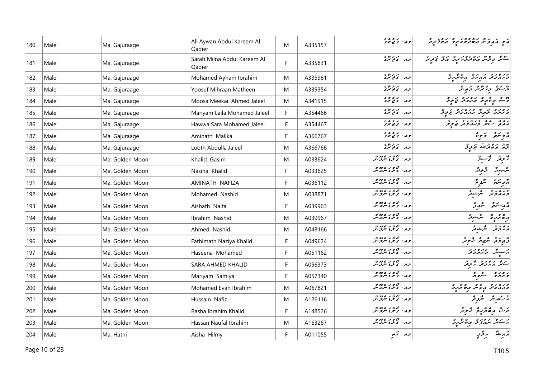| 180 | Male' | Ma. Gajuraage   | Ali Aywan Abdul Kareem Al<br>Oadier   | M  | A335157 | <br>  <i>ح</i> اد کامی محری                | ה התפית הסינית בית הליצית                |
|-----|-------|-----------------|---------------------------------------|----|---------|--------------------------------------------|------------------------------------------|
| 181 | Male' | Ma. Gajuraage   | Sarah Milna Abdul Kareem Al<br>Oadier | F. | A335831 | دړ٠ د ده د                                 | گريم و څرنگ پره ده د د کره توګیږي        |
| 182 | Male' | Ma. Gajuraage   | Mohamed Ayham Ibrahim                 | Μ  | A335981 | ر د و ه و<br>و د ک و مخرو                  | כמחכת התמכ תם המכ                        |
| 183 | Male' | Ma. Gajuraage   | Yoosuf Mihraan Matheen                | M  | A339354 | ر د د ه د<br>وړ کومخ مرد                   | د ده وه ورو و کم مر                      |
| 184 | Male' | Ma. Gajuraage   | Moosa Meekail Ahmed Jaleel            | M  | A341915 | ر د د ه د<br>وړ ک د مخه مرد                | ده په په په په دور د ورو                 |
| 185 | Male' | Ma. Gajuraage   | Mariyam Laila Mohamed Jaleel          | F  | A354466 | ر د ه ه د<br>وړ کو تو بوی                  | כמתכ צתַצ למחכת שַׁבְָצ                  |
| 186 | Male' | Ma. Gajuraage   | Hawwa Sara Mohamed Jaleel             | F  | A354467 | ر د د ه د<br>د د کي توک                    | رەپ پەيدەرەرەپ دو                        |
| 187 | Male' | Ma. Gajuraage   | Aminath Malika                        | F  | A366767 | ر و د ه و<br>وړ ک د مخ مور                 | أروشي وكالملمح                           |
| 188 | Male' | Ma. Gajuraage   | Looth Abdulla Jaleel                  | M  | A366768 | ر و د ه و<br>وړ ک تحه مرد                  | دو بره دالله تح دٍ د                     |
| 189 | Male' | Ma. Golden Moon | Khalid Gasim                          | M  | A033624 | ם פגם בפים.<br>כגי ב <del>ב</del> s יינבית | أرَّحِرْ وَجَسِّرَةُ                     |
| 190 | Male' | Ma. Golden Moon | Nasiha Khalid                         | F  | A033625 | ם פרי פרדים.<br>כדי ביב ציעבית             | ىگرىبىدىگە<br>رٌ وتر                     |
| 191 | Male' | Ma. Golden Moon | AMINATH NAFIZA                        | F  | A036112 | ם פגם בפיק.<br>בגי ציב ציביות              | دً حريرة مسترورةً                        |
| 192 | Male' | Ma. Golden Moon | Mohamed Nashid                        | M  | A038871 | ם פגם בפים.<br>בגי ביבש ייקבית             | و ر ه ر و<br>و بر د و تر<br>سرٌشەتر      |
| 193 | Male' | Ma. Golden Moon | Aishath Naifa                         | F  | A039963 | ם פי פריפים.<br>כוזי ביציב ייטבית          | ەڭرەشقى ئىتروگر                          |
| 194 | Male' | Ma. Golden Moon | Ibrahim Nashid                        | M  | A039967 | ם פגם בפים.<br>בגי ביבש ייקבית             | ارە ئ <sup>ې</sup> رى<br>س<br>سُرُشوترُ  |
| 195 | Male' | Ma. Golden Moon | Ahmed Nashid                          | M  | A048166 | ם פי פי פיקים.<br>כוזי ציב צ'יטביט         | رەر د شەر                                |
| 196 | Male' | Ma. Golden Moon | Fathimath Naziya Khalid               | F  | A049624 | בני ביבש מכתם.<br>כני ביבש ייטבית          | ژوده شهر ژویز                            |
| 197 | Male' | Ma. Golden Moon | Haseena Mohamed                       | F  | A051162 | ם פגם בפים.<br>בגי ביב ציביות              | يُرَ سِيسٌ وَيُرُورُو                    |
| 198 | Male' | Ma. Golden Moon | SARA AHMED KHALID                     | F. | A056373 | ם פגם בפיק.<br>בגי ציב ציביות              | سەنگە ئەرەپ ئەبەر                        |
| 199 | Male' | Ma. Golden Moon | Mariyam Samiya                        | F  | A057340 | ם פגם בפים.<br>בגי ביבש ייקבית             | ر ه ر ه<br><del>ر</del> بربرو<br>ستذورتر |
| 200 | Male' | Ma. Golden Moon | Mohamed Evan Ibrahim                  | M  | A067821 | ם הם הם בבים.<br>כוזי ביכש ייטביית         | ورەرد رومر رەمرد                         |
| 201 | Male' | Ma. Golden Moon | Hussain Nafiz                         | M  | A126116 | ם פגם בפים.<br>בגי ביבש ייקבית             | يز ستهرش التنموش                         |
| 202 | Male' | Ma. Golden Moon | Rasha Ibrahim Khalid                  | F. | A148526 | ם פי פי פיקים.<br>כוזי ציב צ'יטביטק        | برثة وهتربرد زور                         |
| 203 | Male' | Ma. Golden Moon | Hassan Naufal Ibrahim                 | M  | A163267 |                                            | ג' אייל יותר בין פי                      |
| 204 | Male' | Ma. Hathi       | Aisha Hilmy                           | F  | A011055 | وړ کې                                      | أمريشة الرقوح                            |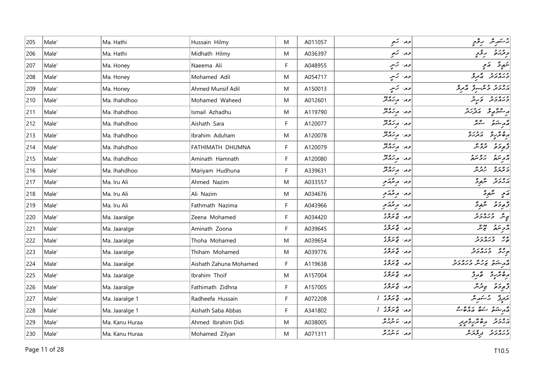| 205 | Male' | Ma. Hathi      | Hussain Hilmy          | M         | A011057 | ور. رَمِ                    | چرىسى بەقۋە                                 |
|-----|-------|----------------|------------------------|-----------|---------|-----------------------------|---------------------------------------------|
| 206 | Male' | Ma. Hathi      | Midhath Hilmy          | M         | A036397 | ور. رَمِ                    | و ورو بروو                                  |
| 207 | Male' | Ma. Honey      | Naeema Ali             | F         | A048955 | احد کے سر                   | بتمدة المتعج                                |
| 208 | Male' | Ma. Honey      | Mohamed Adil           | M         | A054717 | احد کے سی                   | ورەرد ھ.<br><i>دىدە</i> رد ھىر              |
| 209 | Male' | Ma. Honey      | Ahmed Munsif Adil      | M         | A150013 | احد کے سیب                  | גפגב בשהית הבקב                             |
| 210 | Male' | Ma. Ihahdhoo   | Mohamed Waheed         | M         | A012601 | כ <i>ורי וק ה</i> מבק       | ورەر دىرو                                   |
| 211 | Male' | Ma. Ihahdhoo   | Ismail Azhadhu         | M         | A119790 | כו <i>י וההח</i> בר         | أبر ستوصي فلتحرج والمراجعة                  |
| 212 | Male' | Ma. Ihahdhoo   | Aishath Sara           | F         | A120077 | בגי ג'מבר                   | لأرشك ستمر                                  |
| 213 | Male' | Ma. Ihahdhoo   | Ibrahim Aduham         | ${\sf M}$ | A120078 | כו <i>רי הה</i> אבר         | أرە ئۆر ئەزرە                               |
| 214 | Male' | Ma. Ihahdhoo   | FATHIMATH DHUMNA       | F         | A120079 | כו <i>רי הה</i> אבר         | و محمد محمد المعرض                          |
| 215 | Male' | Ma. Ihahdhoo   | Aminath Hamnath        | F         | A120080 | כורי וקביו בכ               | بروبرد<br>ۇ ئەسىرە                          |
| 216 | Male' | Ma. Ihahdhoo   | Mariyam Hudhuna        | F         | A339631 | כו <i>יי וג'ו</i> בק        | ر ه ر ه<br><del>ر</del> بربرگ<br>حە جە ئەشر |
| 217 | Male' | Ma. Iru Ali    | Ahmed Nazim            | M         | A033557 | در. ربزمنج                  | ر ه ر د<br>م.ر <del>د</del> مر<br>سَرْهِ رُ |
| 218 | Male' | Ma. Iru Ali    | Ali Nazim              | ${\sf M}$ | A034676 | در. ربزمزم                  | ړې شمور                                     |
| 219 | Male' | Ma. Iru Ali    | Fathmath Nazima        | F         | A043966 | در. ربزمرم                  | و و ده سر شوځه                              |
| 220 | Male' | Ma. Jaaralge   | Zeena Mohamed          | F         | A034420 | وړ٠ ځ برو ،                 | ې پر <i>دې د</i> رو                         |
| 221 | Male' | Ma. Jaaralge   | Aminath Zoona          | F         | A039645 | ود کا توره د<br>ود کا توکور | أأروسكم تمسح                                |
| 222 | Male' | Ma. Jaaralge   | Thoha Mohamed          | M         | A039654 | ود کم ترو ع<br>ود کم ترو د  | پر وره رو<br>چرگ وبرمرونر                   |
| 223 | Male' | Ma. Jaaralge   | Thiham Mohamed         | M         | A039776 | ود کے برون<br>ود کے بروی    | وره وره دو                                  |
| 224 | Male' | Ma. Jaaralge   | Aishath Zahuna Mohamed | F         | A119638 | ود کے برون<br>ود کے بروی    | و دره در دور در در در د                     |
| 225 | Male' | Ma. Jaaralge   | Ibrahim Thoif          | ${\sf M}$ | A157004 | ود کے برون<br>ود کے بروی    | مەھترىرى ئومرۇ                              |
| 226 | Male' | Ma. Jaaralge   | Fathimath Zidhna       | F         | A157005 | وړ٠ تخ <del>ترو</del> ی     | قُرْجِرَة بِمَحْرَمَّر                      |
| 227 | Male' | Ma. Jaaralge 1 | Radheefa Hussain       | F         | A072208 | ور في يروي 1                | برىرى ئەسىرىر                               |
| 228 | Male' | Ma. Jaaralge 1 | Aishath Saba Abbas     | F         | A341802 | ور وتحريح 1                 |                                             |
| 229 | Male' | Ma. Kanu Huraa | Ahmed Ibrahim Didi     | M         | A038005 | وړ ، ناس پرو                | גפנק גם הקבעת                               |
| 230 | Male' | Ma. Kanu Huraa | Mohamed Zilyan         | ${\sf M}$ | A071311 | وړ ، ناس پر                 | ورەرو نوپۇش                                 |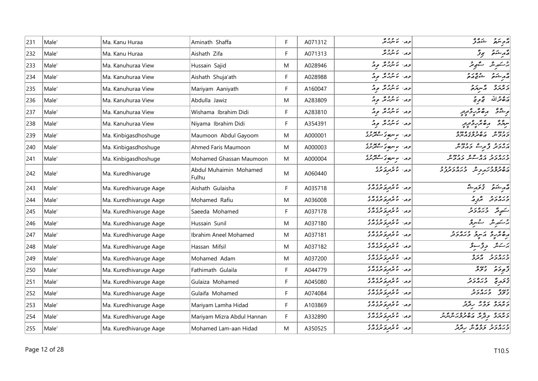| 231 | Male' | Ma. Kanu Huraa         | Aminath Shaffa                  | F  | A071312 | وړ ، ناس پر                                            | شەرىخ<br>  تەرىئىد                                        |
|-----|-------|------------------------|---------------------------------|----|---------|--------------------------------------------------------|-----------------------------------------------------------|
| 232 | Male' | Ma. Kanu Huraa         | Aishath Zifa                    | F  | A071313 | وړ ، ما سرچينې                                         | پ <sup>و</sup> پر ڪو<br>سم گر                             |
| 233 | Male' | Ma. Kanuhuraa View     | Hussain Sajid                   | M  | A028946 | כגי מיתגים כדי                                         | ر گئی فر<br>ج <sub>ەسىمەرىتىر</sub>                       |
| 234 | Male' | Ma. Kanuhuraa View     | Aishath Shuja'ath               | F  | A028988 | כגי מיתגית פג                                          | پھر مشتر ج<br>رح ۾ مرح<br>سنڌي جرحو                       |
| 235 | Male' | Ma. Kanuhuraa View     | Mariyam Aaniyath                | F  | A160047 | כגי מיתגים פה                                          | ر ه ر ه<br><del>ر</del> بربرگ<br>ر<br>مەسىرە              |
| 236 | Male' | Ma. Kanuhuraa View     | Abdulla Jawiz                   | M  | A283809 | בורי מייתמים בה                                        | ەھىراللە<br>يځ <i>و</i> ج                                 |
| 237 | Male' | Ma. Kanuhuraa View     | Wishama Ibrahim Didi            | F. | A283810 | כני מיתגים כב                                          | ر ه پژر د وربر<br>ر ه پژر د وربر<br>  په شوگر             |
| 238 | Male' | Ma. Kanuhuraa View     | Niyama Ibrahim Didi             | F  | A354391 | בני עיתים בה                                           | اسرتزقه<br>ەرھەترىر3 دىردىر<br>ر                          |
| 239 | Male' | Ma. Kinbigasdhoshuge   | Maumoon Abdul Gayoom            | M  | A000001 | 1 בגיע יש פי ביציבי<br>1 בגיע יש פי ביציע ביציע        | ر ه د ه د ه دده<br>پره ترو د برو                          |
| 240 | Male' | Ma. Kinbigasdhoshuge   | Ahmed Faris Maumoon             | M  | A000003 | בני עיתם ב' סיב כ ג'<br>המי עיתם ב' הבניגב             | גפגב <sub>קבאר באבית</sub>                                |
| 241 | Male' | Ma. Kinbigasdhoshuge   | Mohamed Ghassan Maumoon         | M  | A000004 | 12 יו מיום ב' שינקיבי<br>המוני מיום ב' שינקיבי         | כנסגב גם שם גבדבם<br>בגמבת המ—ית כמבית                    |
| 242 | Male' | Ma. Kuredhivaruge      | Abdul Muhaimin Mohamed<br>Fulhu | M  | A060440 | وړ٠ تا ترورو تر د                                      | גם כם כגבים בגם גבוב.<br>הסתי <i>בב ה</i> תכית בהמכתבית   |
| 243 | Male' | Ma. Kuredhivaruge Aage | Aishath Gulaisha                | F  | A035718 | وړ٠ تر تر تر و د و د و<br>د ۱۸ - تا تر تر تو تر د ار د | مەر شەھ تىخىرىش                                           |
| 244 | Male' | Ma. Kuredhivaruge Aage | Mohamed Rafiu                   | M  | A036008 | وړ٠ تر تر تر و د و د و<br>وړ٠ تر تر تر تر تر ور و      | ورەر د پروژ                                               |
| 245 | Male' | Ma. Kuredhivaruge Aage | Saeeda Mohamed                  | F. | A037178 | وړ٠ تر تر تر و د و د و<br>وړ٠ تر تر تر تر تر ور و      | و رە ر د<br><i>د بە</i> پەر<br>سەر تەڭر                   |
| 246 | Male' | Ma. Kuredhivaruge Aage | Hussain Sunil                   | M  | A037180 | وړ٠ د د د د د د د د                                    | يزڪريش ڪريري                                              |
| 247 | Male' | Ma. Kuredhivaruge Aage | Ibrahim Aneel Mohamed           | M  | A037181 | כו י מינקוס בי בי בי<br>כו י מינקוס בי בי בי           | مەھەر بە كەسرى دىمەدىر                                    |
| 248 | Male' | Ma. Kuredhivaruge Aage | Hassan Mifsil                   | M  | A037182 | وړ٠ د د د د د د د د                                    | يركىش بروسو                                               |
| 249 | Male' | Ma. Kuredhivaruge Aage | Mohamed Adam                    | M  | A037200 | وړ٠ تر تر ور ور ور<br>در٠ تر تر تر وري                 | ورەر د درە<br><i>دىد</i> ەرىر مەر <i>و</i>                |
| 250 | Male' | Ma. Kuredhivaruge Aage | Fathimath Gulaila               | F  | A044779 | وړ٠ تر تر تر و د د د<br>د ۱۸ تر تر تر تر تر د          | د بر د د د د د                                            |
| 251 | Male' | Ma. Kuredhivaruge Aage | Gulaiza Mohamed                 | F. | A045080 | وړ٠ تر تر تر و د و د و<br>وړ٠ تر تر تر تر تر ور و      | ورەر د<br><i>دى</i> رمەتر<br>تحر تحر مرتج                 |
| 252 | Male' | Ma. Kuredhivaruge Aage | Gulaifa Mohamed                 | F  | A074084 | وړ٠ تا ترترو تروم و د                                  | وړي په<br>ترمونو<br>و رە ر د<br>تر پر تر تر               |
| 253 | Male' | Ma. Kuredhivaruge Aage | Mariyam Lamha Hidad             | F  | A103869 | وړ٠ د ، د د د د ،<br>د ۱۰ م مرتزه مرد ار               | رەرە رەپ رىگە                                             |
| 254 | Male' | Ma. Kuredhivaruge Aage | Mariyam Mizra Abdul Hannan      | F  | A332890 | כגי עיצקפיציבי בי                                      | ر ہ ر ہ م ہ ر ہ و ہ ر ہ ہ ج<br>3 بربرو میں بر ہے ترجہ سرس |
| 255 | Male' | Ma. Kuredhivaruge Aage | Mohamed Lam-aan Hidad           | M  | A350525 | وړ٠ ته ترور وه وه و<br>وړ٠ ته ترور ترو لرو             | ورەرو رەپە روگە                                           |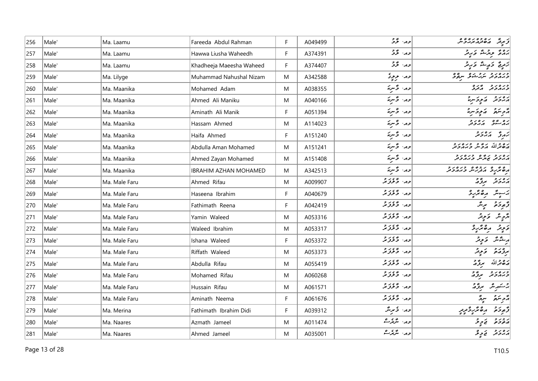| 256 | Male' | Ma. Laamu     | Fareeda Abdul Rahman         | F  | A049499 | وړ گړي                | كم مركز من حدد مده و حدد المركز من                                                                                                                                                                                    |
|-----|-------|---------------|------------------------------|----|---------|-----------------------|-----------------------------------------------------------------------------------------------------------------------------------------------------------------------------------------------------------------------|
| 257 | Male' | Ma. Laamu     | Hawwa Liusha Waheedh         | F  | A374391 | وړ گړي                | ره و محمد معرضه المحمد المحمد المحمد المحمد المحمد المحمد المحمد المحمد المحمد المحمد المحمد المحمد<br>  محمد المحمد المحمد المحمد المحمد المحمد المحمد المحمد المحمد المحمد المحمد المحمد المحمد المحمد المحمد المحم |
| 258 | Male' | Ma. Laamu     | Khadheeja Maeesha Waheed     | F. | A374407 | ود گرو                | زَمِيعٌ وَرِيدٌ وَرِيدٌ                                                                                                                                                                                               |
| 259 | Male' | Ma. Lilyge    | Muhammad Nahushal Nizam      | M  | A342588 | وړ ووځ                | ورەرو رورى سۆۋ                                                                                                                                                                                                        |
| 260 | Male' | Ma. Maanika   | Mohamed Adam                 | M  | A038355 | در به شهر             | כנסנכ שנם<br>כגמכת התכ                                                                                                                                                                                                |
| 261 | Male' | Ma. Maanika   | Ahmed Ali Maniku             | M  | A040166 | בו הרית.<br>כור הרית. | ג' ביב הבביתי                                                                                                                                                                                                         |
| 262 | Male' | Ma. Maanika   | Aminath Ali Manik            | F  | A051394 | כוזי זכות ע           | وحريمة وكمريح يربا                                                                                                                                                                                                    |
| 263 | Male' | Ma. Maanika   | Hassam Ahmed                 | M  | A114023 | ور. وُسِرْ            | ره وه ده دو<br>برد شو مدرو                                                                                                                                                                                            |
| 264 | Male' | Ma. Maanika   | Haifa Ahmed                  | F  | A151240 | כוזי זכות ע           | كهرق متدحقر                                                                                                                                                                                                           |
| 265 | Male' | Ma. Maanika   | Abdulla Aman Mohamed         | M  | A151241 | دە. ئەسىد             | رە داللە برۇ بو دىرە دو                                                                                                                                                                                               |
| 266 | Male' | Ma. Maanika   | Ahmed Zayan Mohamed          | M  | A151408 | כו. ז"ייט             | גם גם גם כגם גב<br>הגבת התית בגהכת                                                                                                                                                                                    |
| 267 | Male' | Ma. Maanika   | <b>IBRAHIM AZHAN MOHAMED</b> | M  | A342513 | در گریم               |                                                                                                                                                                                                                       |
| 268 | Male' | Ma. Male Faru | Ahmed Rifau                  | M  | A009907 | وړ گونونو             | ג פי ב"ב ב"ב"<br>הגבע יינצה                                                                                                                                                                                           |
| 269 | Male' | Ma. Male Faru | Haseena Ibrahim              | F  | A040679 | وړ گورنو              | برسوس مرەمخرى                                                                                                                                                                                                         |
| 270 | Male' | Ma. Male Faru | Fathimath Reena              | F. | A042419 | وړ گونونو             | قەددە بېتر                                                                                                                                                                                                            |
| 271 | Male' | Ma. Male Faru | Yamin Waleed                 | M  | A053316 | وړ گونۍ               | أثرج مثر<br>ءَ وِ تَرُ                                                                                                                                                                                                |
| 272 | Male' | Ma. Male Faru | Waleed Ibrahim               | M  | A053317 | وە، ئۇنۇبر            | وَمِيْدَ رِهْ مَّرِ وَ                                                                                                                                                                                                |
| 273 | Male' | Ma. Male Faru | Ishana Waleed                | F. | A053372 | در گ <sup>و</sup> زنر | ەر ئەشىگە<br>ءَ وِتر                                                                                                                                                                                                  |
| 274 | Male' | Ma. Male Faru | Riffath Waleed               | M  | A053373 | وړ گورو               | بروړه و<br>ءَ وِتر                                                                                                                                                                                                    |
| 275 | Male' | Ma. Male Faru | Abdulla Rifau                | M  | A055419 | وړ گونونو             | برە دالله<br>برڈ و                                                                                                                                                                                                    |
| 276 | Male' | Ma. Male Faru | Mohamed Rifau                | M  | A060268 | وړ گروگر              | بروگ<br>و ر ه ر د<br>د بر پر تر                                                                                                                                                                                       |
| 277 | Male' | Ma. Male Faru | Hussain Rifau                | M  | A061571 | وە، ئۇنۇبر            | يزخير شهور المروزة                                                                                                                                                                                                    |
| 278 | Male' | Ma. Male Faru | Aminath Neema                | F  | A061676 | وړ وگورو              | سرچُ<br>ړګر سرچ                                                                                                                                                                                                       |
| 279 | Male' | Ma. Merina    | Fathimath Ibrahim Didi       | F  | A039312 | دە ئېرىگە             | ا تو پر د<br>ىر ھەتئەر <sub>3 ت</sub> ىر تىر<br>ب                                                                                                                                                                     |
| 280 | Male' | Ma. Naares    | Azmath Jameel                | M  | A011474 | دە. ئىرىزىشە          | ر و ر د<br>م نور م                                                                                                                                                                                                    |
| 281 | Male' | Ma. Naares    | Ahmed Jameel                 | M  | A035001 | چەر، سرچرىشە          | پروژو نے چ                                                                                                                                                                                                            |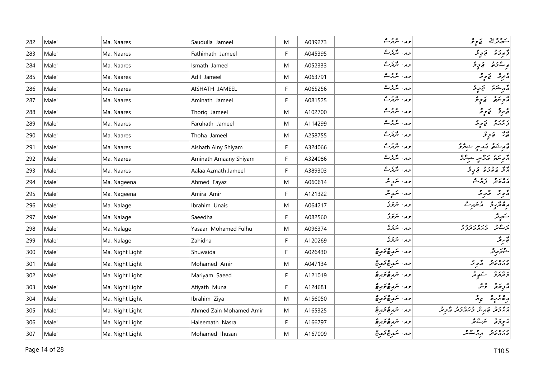| 282 | Male' | Ma. Naares      | Saudulla Jameel         | ${\sf M}$   | A039273 | حەر، سر پۇرى                      | ستوجر حرالله<br>تح تر بحر                                                                                         |
|-----|-------|-----------------|-------------------------|-------------|---------|-----------------------------------|-------------------------------------------------------------------------------------------------------------------|
| 283 | Male' | Ma. Naares      | Fathimath Jameel        | F           | A045395 | چەر، سرچرىشە                      | وتجوحكم فيحوفه                                                                                                    |
| 284 | Male' | Ma. Naares      | Ismath Jameel           | M           | A052333 | چەر، سرچرىشە                      | وبدذة فأوقر                                                                                                       |
| 285 | Male' | Ma. Naares      | Adil Jameel             | M           | A063791 | چەر، سرىئەر ھ                     | دًّىر ئۇ ئۇچ                                                                                                      |
| 286 | Male' | Ma. Naares      | AISHATH JAMEEL          | $\mathsf F$ | A065256 | چەر، سرچرىشە                      |                                                                                                                   |
| 287 | Male' | Ma. Naares      | Aminath Jameel          | $\mathsf F$ | A081525 | دە. ئىرىزىشە                      |                                                                                                                   |
| 288 | Male' | Ma. Naares      | Thoriq Jameel           | M           | A102700 | دە. ئىرىزىشە                      | $\begin{array}{cc} \overline{\begin{array}{cc} 2 & 2 \\ 2 & 2 \end{array}} & \end{array}$                         |
| 289 | Male' | Ma. Naares      | Faruhath Jameel         | M           | A114299 | چەر، سرچرىشە                      | و ورو د و و                                                                                                       |
| 290 | Male' | Ma. Naares      | Thoha Jameel            | M           | A258755 | چەر، سرپۇر                        | $\frac{2}{3}$ $\frac{2}{3}$ $\frac{2}{3}$                                                                         |
| 291 | Male' | Ma. Naares      | Aishath Ainy Shiyam     | $\mathsf F$ | A324066 | دە. ئىرىزىشە                      |                                                                                                                   |
| 292 | Male' | Ma. Naares      | Aminath Amaany Shiyam   | F           | A324086 | حەر، سرىر مە                      |                                                                                                                   |
| 293 | Male' | Ma. Naares      | Aalaa Azmath Jameel     | $\mathsf F$ | A389303 | <sub>حەم</sub> . ئىر <i>تىر</i> گ | $\begin{array}{c} 2\overline{)121200} \ \overline{)121000} \ \overline{)131000} \ \overline{)241000} \end{array}$ |
| 294 | Male' | Ma. Nageena     | Ahmed Fayaz             | M           | A060614 | وە. س <sub>كىچ</sub> ىتر          | أرەر دىر دىر                                                                                                      |
| 295 | Male' | Ma. Nageena     | Amira Amir              | $\mathsf F$ | A121322 | ور. سَيِسَّ                       | م و مد م محمد و محمد                                                                                              |
| 296 | Male' | Ma. Nalage      | Ibrahim Unais           | M           | A064217 | وړ شرور                           |                                                                                                                   |
| 297 | Male' | Ma. Nalage      | Saeedha                 | $\mathsf F$ | A082560 | وە سەر ئە                         | سنهيقر                                                                                                            |
| 298 | Male' | Ma. Nalage      | Yasaar Mohamed Fulhu    | M           | A096374 | وړ شرور                           | ىر مەير<br>مەسىر<br>و ر ه ر و و و<br>تر پر تر تر تر تر                                                            |
| 299 | Male' | Ma. Nalage      | Zahidha                 | F           | A120269 | وړ کرده                           | پچ رېتر<br>م                                                                                                      |
| 300 | Male' | Ma. Night Light | Shuwaida                | F           | A026430 | در سَرِ عَجَدِ عَ                 | المشتمة مرتبر<br>المشتمر مرتبر                                                                                    |
| 301 | Male' | Ma. Night Light | Mohamed Amir            | M           | A047134 | בו. יתוש צוש                      |                                                                                                                   |
| 302 | Male' | Ma. Night Light | Mariyam Saeed           | F           | A121019 |                                   | و ه ده ده کرد و                                                                                                   |
| 303 | Male' | Ma. Night Light | Afiyath Muna            | F           | A124681 |                                   | أزويره وتكر                                                                                                       |
| 304 | Male' | Ma. Night Light | Ibrahim Ziya            | M           | A156050 | در سَرِ عَجَدِ عَ                 | ەھترىرى بى <sub>ر</sub> گە                                                                                        |
| 305 | Male' | Ma. Night Light | Ahmed Zain Mohamed Amir | M           | A165325 | در سَرِ عَجَدِ ع                  | גם גב האניי בממכת האביל                                                                                           |
| 306 | Male' | Ma. Night Light | Haleemath Nasra         | F           | A166797 | $\frac{1}{2}$ حد سَمرة حَدرة      | بَرْدِدَةٌ سَرَجْهُ                                                                                               |
| 307 | Male' | Ma. Night Light | Mohamed Ihusan          | M           | A167009 | در سَرِ عَدَرِ عَ                 | ورەرو مەشقىر                                                                                                      |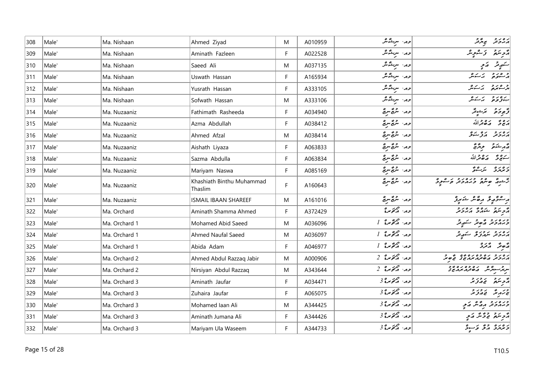| 308 | Male' | Ma. Nishaan   | Ahmed Ziyad                          | M           | A010959 | ور. سرڪرش                                                                                                       | ر ور د سرگرفتر<br>مرکز در سرگرفتر                                       |
|-----|-------|---------------|--------------------------------------|-------------|---------|-----------------------------------------------------------------------------------------------------------------|-------------------------------------------------------------------------|
| 309 | Male' | Ma. Nishaan   | Aminath Fazleen                      | F           | A022528 | <i>حەر سىنىڭىش</i>                                                                                              | أأديته وكالمحمد                                                         |
| 310 | Male' | Ma. Nishaan   | Saeed Ali                            | M           | A037135 | <i>ون سرمنگیل</i>                                                                                               | سکھی قدم                                                                |
| 311 | Male' | Ma. Nishaan   | Uswath Hassan                        | F           | A165934 | ارړ. سرشگرمر                                                                                                    | د وړو پر نه شر                                                          |
| 312 | Male' | Ma. Nishaan   | Yusrath Hassan                       | F           | A333105 | ارر. سرگیش<br>__                                                                                                | و قرار در برگستر کر                                                     |
| 313 | Male' | Ma. Nishaan   | Sofwath Hassan                       | M           | A333106 | وړ. سرستگ <i>س</i>                                                                                              | بەددە برىكەش                                                            |
| 314 | Male' | Ma. Nuzaaniz  | Fathimath Rasheeda                   | F           | A034940 | در. سرچمبرچ                                                                                                     | تزود كالمستوفر                                                          |
| 315 | Male' | Ma. Nuzaaniz  | Azma Abdullah                        | F           | A038412 | حەر، سرچ سرچ                                                                                                    | مَّ مَنْ مَنْ مِنْ اللَّهُ                                              |
| 316 | Male' | Ma. Nuzaaniz  | Ahmed Afzal                          | M           | A038414 | دە. ئىتى ئىرى                                                                                                   | رەرو روت                                                                |
| 317 | Male' | Ma. Nuzaaniz  | Aishath Liyaza                       | F           | A063833 | <i>دە. ش</i> ۇسرچ                                                                                               | وأرشكم وارتج                                                            |
| 318 | Male' | Ma. Nuzaaniz  | Sazma Abdulla                        | F           | A063834 | در. سرچمبرچ                                                                                                     | حَصِرَ مَصْعَرِ اللَّهُ                                                 |
| 319 | Male' | Ma. Nuzaaniz  | Mariyam Naswa                        | $\mathsf F$ | A085169 | در، سرچ سرچ                                                                                                     | رەرە سەرەۋ                                                              |
| 320 | Male' | Ma. Nuzaaniz  | Khashiath Binthu Muhammad<br>Thaslim | F           | A160643 | دە. سىنى سىنى                                                                                                   | تششره صره وره دو دره و                                                  |
| 321 | Male' | Ma. Nuzaaniz  | <b>ISMAIL IBAAN SHAREEF</b>          | M           | A161016 | دە. سىنى سىنى                                                                                                   | ړ ه څوړ و په شو شویږ                                                    |
| 322 | Male' | Ma. Orchard   | Aminath Shamma Ahmed                 | F           | A372429 | در، دګځویرو                                                                                                     |                                                                         |
| 323 | Male' | Ma. Orchard 1 | Mohamed Abid Saeed                   | M           | A036096 | $1 \stackrel{\circ}{\mathcal{K}} \stackrel{\circ}{\mathcal{K}} \stackrel{\circ}{\mathcal{K}} \cdot \cdot \cdot$ | ورەرو بەھىر سەر                                                         |
| 324 | Male' | Ma. Orchard 1 | <b>Ahmed Naufal Saeed</b>            | M           | A036097 | $1 \stackrel{\circ}{\mathcal{K}} \stackrel{\circ}{\mathcal{K}} \stackrel{\circ}{\mathcal{K}} \cdot \cdot \cdot$ | أبرور والمرور والمتحصر والمراجد                                         |
| 325 | Male' | Ma. Orchard 1 | Abida Adam                           | F           | A046977 | $1 \stackrel{\circ}{\mathcal{K}} \stackrel{\circ}{\mathcal{K}} \stackrel{\circ}{\mathcal{K}} \cdot \cdot \cdot$ | ړٌ صدٌ کړو و                                                            |
| 326 | Male' | Ma. Orchard 2 | Ahmed Abdul Razzaq Jabir             | M           | A000906 | $2 \frac{6}{5}$                                                                                                 | נים כי ניס כס ניס שיי בי כי היים בליסיה.<br>הגיבות השונה בהיה של בי שיי |
| 327 | Male' | Ma. Orchard 2 | Nirsiyan Abdul Razzaq                | M           | A343644 | $2 \frac{9}{2} \frac{6}{5}$                                                                                     | יתוק מים נפרסנסיבי                                                      |
| 328 | Male' | Ma. Orchard 3 | Aminath Jaufar                       | F           | A034471 | 3.255.45                                                                                                        | أأوسكة والمرواح                                                         |
| 329 | Male' | Ma. Orchard 3 | Zuhaira Jaufar                       | F           | A065075 | 3.255.45                                                                                                        | يحكم يحمد ومحمد                                                         |
| 330 | Male' | Ma. Orchard 3 | Mohamed Iaan Ali                     | M           | A344425 | $32222$                                                                                                         | ورەرو مەھر مەر                                                          |
| 331 | Male' | Ma. Orchard 3 | Aminath Jumana Ali                   | F           | A344426 | $32222$                                                                                                         | أأدبتهم فأذنائه أأبر                                                    |
| 332 | Male' | Ma. Orchard 3 | Mariyam Ula Waseem                   | F           | A344733 | $3$ $252 - 22$                                                                                                  | رەرە دۇ ئەسرى                                                           |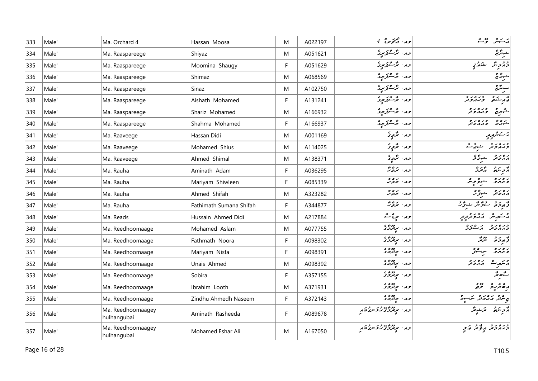| 333 | Male' | Ma. Orchard 4                    | Hassan Moosa            | M           | A022197 | 4.255.10                                          | ير کے مراج کے حالات                   |
|-----|-------|----------------------------------|-------------------------|-------------|---------|---------------------------------------------------|---------------------------------------|
| 334 | Male' | Ma. Raaspareege                  | Shiyaz                  | M           | A051621 | <sub>وە ،</sub> بۇ ھ <sub>ۇ</sub> بر <sub>ى</sub> | شودگريج<br>مر                         |
| 335 | Male' | Ma. Raaspareege                  | Moomina Shaugy          | F           | A051629 | <i>دە بە</i> ئۇسۇت <sub>ۇ ئىرى</sub>              | ودويژ<br>ستتورنج                      |
| 336 | Male' | Ma. Raaspareege                  | <b>Shimaz</b>           | M           | A068569 | دە. ئۇسۇ <sub>ت</sub> رىرى                        | شوڅ ځ<br>م                            |
| 337 | Male' | Ma. Raaspareege                  | Sinaz                   | M           | A102750 | حەر، ئۇستۇپرى<br><i>ھە</i> ر، ئۇستۇپرى            | سوشيح                                 |
| 338 | Male' | Ma. Raaspareege                  | Aishath Mohamed         | F.          | A131241 | دە. ئ <sup>ۇ</sup> سۇرىمى                         | مەرشىم دىرەرد                         |
| 339 | Male' | Ma. Raaspareege                  | Shariz Mohamed          | M           | A166932 | وړ٠ برگرور پرو                                    | شمرج وره رد                           |
| 340 | Male' | Ma. Raaspareege                  | Shahma Mohamed          | F           | A166937 | در برگرور پر                                      | شەرىخ<br>و رە ر د<br>تر پروتر         |
| 341 | Male' | Ma. Raaveege                     | Hassan Didi             | M           | A001169 | وړ٠ برٌوٍ دُ                                      | ئەسكەنلەردىر<br>  ئەسكەنلىقى          |
| 342 | Male' | Ma. Raaveege                     | Mohamed Shius           | M           | A114025 | وړ٠ برٌوٍ د                                       | $\frac{1}{2}$                         |
| 343 | Male' | Ma. Raaveege                     | Ahmed Shimal            | M           | A138371 | در گروگر                                          | أرەر دە ئىدۇ                          |
| 344 | Male' | Ma. Rauha                        | Aminath Adam            | F           | A036295 | وە بۇھۇ                                           | ړ و سره په دوره                       |
| 345 | Male' | Ma. Rauha                        | Mariyam Shiwleen        | $\mathsf F$ | A085339 | وړ برون                                           | ويرود جوه يده                         |
| 346 | Male' | Ma. Rauha                        | Ahmed Shifah            | M           | A323282 | وړ بره و                                          | رەر ئىرگ                              |
| 347 | Male' | Ma. Rauha                        | Fathimath Sumana Shifah | F           | A344877 | وړ برون                                           | تو دو دوسته شوژر                      |
| 348 | Male' | Ma. Reads                        | Hussain Ahmed Didi      | M           | A217884 | در. بر، م                                         | ج سەر شەر ئەر ئەر ئەر                 |
| 349 | Male' | Ma. Reedhoomaage                 | Mohamed Aslam           | M           | A077755 | وړ٠ مرمزونو                                       | כנסני הפנס                            |
| 350 | Male' | Ma. Reedhoomaage                 | Fathmath Noora          | F           | A098302 | כוזי תבקבים<br>כוזי תבקבים                        | قرم فرقته المسترنكر                   |
| 351 | Male' | Ma. Reedhoomaage                 | Mariyam Nisfa           | F           | A098391 | وړ ، موفرونو ته<br>  -                            | رەرە سرھۇ                             |
| 352 | Male' | Ma. Reedhoomaage                 | Unais Ahmed             | M           | A098392 | وړ٠ مرترون                                        |                                       |
| 353 | Male' | Ma. Reedhoomaage                 | Sobira                  | F           | A357155 | בוני וקברבים<br>כוני וקבקבים                      | بثوبر                                 |
| 354 | Male' | Ma. Reedhoomaage                 | Ibrahim Looth           | M           | A371931 | בוני וקבקים<br>כוני וקבקים                        | ەھەرىرى دەر                           |
| 355 | Male' | Ma. Reedhoomaage                 | Zindhu Ahmedh Naseem    | F           | A372143 |                                                   | ے مرد در دیگر دیگر<br>محمد مرد در مرد |
| 356 | Male' | Ma. Reedhoomaagey<br>hulhangubai | Aminath Rasheeda        | F           | A089678 | בגי תְנֹקְפְצְיִנְיִתְצְיֵם,                      | مەمەسىمە ئىكسىدىگە                    |
| 357 | Male' | Ma. Reedhoomaagey<br>hulhangubai | Mohamed Eshar Ali       | M           | A167050 | - ۲۶ ده ۲۶ ور<br>۱۶ - مرتز <i>5 ژب</i> وسوی       | وره رو مرتج تر مکم                    |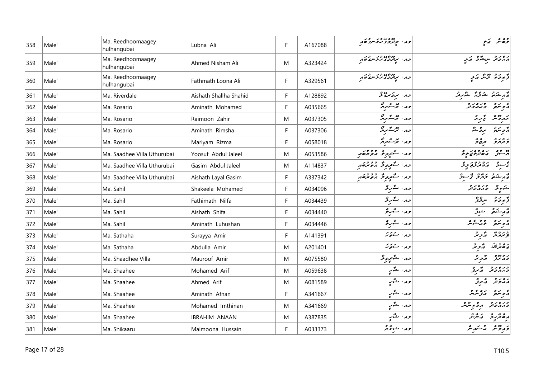| 358 | Male' | Ma. Reedhoomaagey<br>hulhangubai | Lubna Ali              | F. | A167088 | בגי תנקפי בגודם.<br>כגי תנקפי גיליינים ב | دەش كەبر                                             |
|-----|-------|----------------------------------|------------------------|----|---------|------------------------------------------|------------------------------------------------------|
| 359 | Male' | Ma. Reedhoomaagey<br>hulhangubai | Ahmed Nisham Ali       | Μ  | A323424 | כגי תבקים בין הפי<br>כגי תבקים ביטוע סף  | أرەر دە سرىشگى كەير                                  |
| 360 | Male' | Ma. Reedhoomaagey<br>hulhangubai | Fathmath Loona Ali     | F  | A329561 | כני תנקפו מים כן<br>כני תנקפו מיטביסו    | و به ده دوند که د                                    |
| 361 | Male' | Ma. Riverdale                    | Aishath Shallha Shahid | F  | A128892 | وە برۇپرەم                               | د<br>د کر شوی شور شور د ک                            |
| 362 | Male' | Ma. Rosario                      | Aminath Mohamed        | F. | A035665 | حەر سىمى ئىستىمبىر                       | و دره دره در د                                       |
| 363 | Male' | Ma. Rosario                      | Raimoon Zahir          | M  | A037305 | حەر سىمى ئىستىمبىر                       | بروده پرېژ                                           |
| 364 | Male' | Ma. Rosario                      | Aminath Rimsha         | F  | A037306 | ور. برگرمر                               | أأوسكم بروك                                          |
| 365 | Male' | Ma. Rosario                      | Mariyam Rizma          | F. | A058018 | ور. برگرمر                               | במחבר משב                                            |
| 366 | Male' | Ma. Saadhee Villa Uthurubai      | Yoosuf Abdul Jaleel    | M  | A053586 | در گروگر دوده                            | מ כם גם כם <i>בי</i> ת<br>ת—נצ                       |
| 367 | Male' | Ma. Saadhee Villa Uthurubai      | Gasim Abdul Jaleel     | M  | A114837 | در گرده د دوده                           | و ده ده ده ده د و<br>تحسن د هامبرونج و د             |
| 368 | Male' | Ma. Saadhee Villa Uthurubai      | Aishath Layal Gasim    | F. | A337342 | در گرود مورده                            | ۇرىشى كەرگە ئىسى                                     |
| 369 | Male' | Ma. Sahil                        | Shakeela Mohamed       | F. | A034096 | دە. سەربۇ                                | و ره ر د<br><i>د ب</i> رگرفر<br>ىشكە بەرىگە<br>سىسمى |
| 370 | Male' | Ma. Sahil                        | Fathimath Nilfa        | F  | A034439 | دە. سەربى                                | ژُودَهُ سِرْرٌ                                       |
| 371 | Male' | Ma. Sahil                        | Aishath Shifa          | F. | A034440 | دە. سەربۇ                                | و<br>وگرڪو ڪرڙ                                       |
| 372 | Male' | Ma. Sahil                        | Aminath Luhushan       | F. | A034446 | دە. سەربى                                | أورة ودفقه                                           |
| 373 | Male' | Ma. Sathaha                      | Surayya Amir           | F  | A141391 | وړ خوړ                                   | وره و و د                                            |
| 374 | Male' | Ma. Sathaha                      | Abdulla Amir           | M  | A201401 | وە، سەھەر                                | برە تراللە<br>ە ئەرىخە                               |
| 375 | Male' | Ma. Shaadhee Villa               | Mauroof Amir           | M  | A075580 | وړ٠ څوړ <sub>يو قر</sub>                 | ر و دوه<br><del>و</del> پر تر<br>ەرىمى               |
| 376 | Male' | Ma. Shaahee                      | Mohamed Arif           | M  | A059638 | ه .<br>احد شور                           | ورەر دەرد                                            |
| 377 | Male' | Ma. Shaahee                      | Ahmed Arif             | M  | A081589 | $\frac{1}{2}$                            | برەر ئە ئەر                                          |
| 378 | Male' | Ma. Shaahee                      | Aminath Afnan          | F. | A341667 | احد مقرر                                 | أأدج المتحر المراكب والمراكب                         |
| 379 | Male' | Ma. Shaahee                      | Mohamed Imthinan       | M  | A341669 | احد مقرر                                 | ورەرو مەۋەپترىتر                                     |
| 380 | Male' | Ma. Shaahee                      | <b>IBRAHIM ANAAN</b>   | M  | A387835 | حەر، ئىقمە                               | مقترره مترش                                          |
| 381 | Male' | Ma. Shikaaru                     | Maimoona Hussain       | F  | A033373 | اور. خوند محمد                           | أقرار فينجم بمستور مثل                               |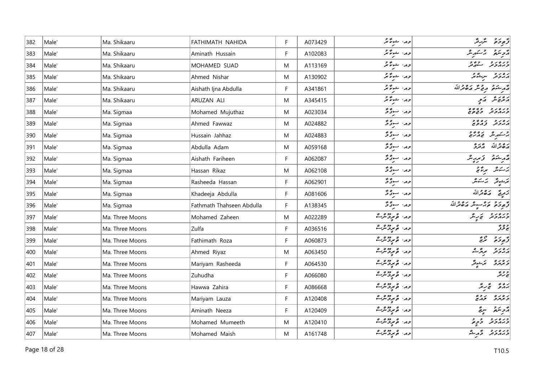| 382 | Male' | Ma. Shikaaru    | FATHIMATH NAHIDA          | $\mathsf F$ | A073429 | حەر، سىيەتلەر<br>مەس       | و محمد محمد المحمد المحمد المحمد<br>المحمد المحمد المحمد المحمد المحمد المحمد المحمد المحمد المحمد المحمد المحمد المحمد |
|-----|-------|-----------------|---------------------------|-------------|---------|----------------------------|-------------------------------------------------------------------------------------------------------------------------|
| 383 | Male' | Ma. Shikaaru    | Aminath Hussain           | F           | A102083 | حەر، سىرتىگە               | أروسي بالمسكر                                                                                                           |
| 384 | Male' | Ma. Shikaaru    | MOHAMED SUAD              | M           | A113169 | دړ. خوړنمه                 | وره رو دود<br>وردرونر سوړنر                                                                                             |
| 385 | Male' | Ma. Shikaaru    | Ahmed Nishar              | M           | A130902 | دړ. خوړنمه                 | أرور و سر المحمد                                                                                                        |
| 386 | Male' | Ma. Shikaaru    | Aishath Ijna Abdulla      | $\mathsf F$ | A341861 | دړ. سورتمبر                | قَدَّمَ شَعْفَى مِنْ قَدَّةً مِنْ قَدْ اللَّهَ                                                                          |
| 387 | Male' | Ma. Shikaaru    | ARUZAN ALI                | M           | A345415 | ور. خوند پر                | برەيرى پەر                                                                                                              |
| 388 | Male' | Ma. Sigmaa      | Mohamed Mujuthaz          | M           | A023034 | وړ٠ سوی څ                  | 0 4 0 2 2 9 7 0 7 2<br>C X X 2 4 7 7 7 7 7 7 7                                                                          |
| 389 | Male' | Ma. Sigmaa      | Ahmed Fawwaz              | M           | A024882 | وړ٠ سوی څ                  | ג סג כ צ מ שיב<br>הגב ט צ ג מ שיב                                                                                       |
| 390 | Male' | Ma. Sigmaa      | Hussain Jahhaz            | M           | A024883 | در. سودگ                   | جر شهر سي مره و د ج                                                                                                     |
| 391 | Male' | Ma. Sigmaa      | Abdulla Adam              | M           | A059168 | وړ. سوڅ                    | مَدَّة مَّرْسَدَّ                                                                                                       |
| 392 | Male' | Ma. Sigmaa      | Aishath Fariheen          | $\mathsf F$ | A062087 | در ۱۰ سورگی                | ەر ئىسى ئىرىدىكى<br>مەر ئىسى ئىرىدىكى                                                                                   |
| 393 | Male' | Ma. Sigmaa      | Hassan Rikaz              | M           | A062108 | حەس سوڭ ھ                  | برسكان برائيج                                                                                                           |
| 394 | Male' | Ma. Sigmaa      | Rasheeda Hassan           | F           | A062901 | $55 - 15$                  |                                                                                                                         |
| 395 | Male' | Ma. Sigmaa      | Khadeeja Abdulla          | $\mathsf F$ | A081606 | $rac{20}{55}$              | ترميعً صَرَهُ مَدَاللّهِ                                                                                                |
| 396 | Male' | Ma. Sigmaa      | Fathmath Thahseen Abdulla | F           | A138345 | $rac{1}{2}$                | قرموحا محتاسيكر مكافرالله                                                                                               |
| 397 | Male' | Ma. Three Moons | Mohamed Zaheen            | M           | A022289 | در و پروترے<br>ا           | ورەرو يې پر                                                                                                             |
| 398 | Male' | Ma. Three Moons | Zulfa                     | F           | A036516 | وړ٠ و <sub>کم</sub> ږو ترگ | و ه و.<br>پح نژگ                                                                                                        |
| 399 | Male' | Ma. Three Moons | Fathimath Roza            | F           | A060873 | در. و پروترے               | مړينځ<br>وٌمورَم                                                                                                        |
| 400 | Male' | Ma. Three Moons | Ahmed Riyaz               | M           | A063450 | در و پروترے<br>ا           | גפגב <sub>מ</sub> ת-                                                                                                    |
| 401 | Male' | Ma. Three Moons | Mariyam Rasheeda          | F           | A064530 | در و پردید.                | ر ه ر ه<br><del>و</del> بربرو<br>كرشوقر                                                                                 |
| 402 | Male' | Ma. Three Moons | Zuhudha                   | $\mathsf F$ | A066080 | وړ٠ و پروترگ               | ح 2 مگر<br>سی مرکز                                                                                                      |
| 403 | Male' | Ma. Three Moons | Hawwa Zahira              | F           | A086668 | وړ٠ و پروترگ               | رەپچ<br>پچ پر پټر<br>مخ                                                                                                 |
| 404 | Male' | Ma. Three Moons | Mariyam Lauza             | $\mathsf F$ | A120408 | در. و پردیور               | ر ه ر ه<br><del>ر</del> بربرگ<br>تر و پر<br>موبر مح                                                                     |
| 405 | Male' | Ma. Three Moons | Aminath Neeza             | F           | A120409 | وړ٠ و پروترگ               | ړې سره<br>سرچٌ                                                                                                          |
| 406 | Male' | Ma. Three Moons | Mohamed Mumeeth           | M           | A120410 | در و دوره                  | כנסגב כבי<br>כגובע כבים                                                                                                 |
| 407 | Male' | Ma. Three Moons | Mohamed Maish             | M           | A161748 | وړ٠ ه پروترگ               | ورەرو ۇرى                                                                                                               |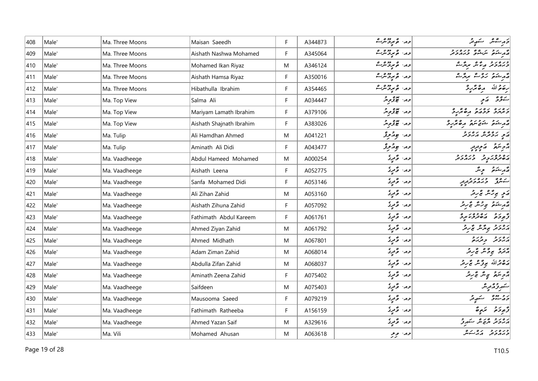| 408 | Male' | Ma. Three Moons | Maisan Saeedh            | F           | A344873 | در و پروترے<br>ا                    | ئەربەش سەر بىر                                                                                       |
|-----|-------|-----------------|--------------------------|-------------|---------|-------------------------------------|------------------------------------------------------------------------------------------------------|
| 409 | Male' | Ma. Three Moons | Aishath Nashwa Mohamed   | F           | A345064 | وړ٠ و پروترگ                        | ه دره دره وره درد<br>درخوم سرشو وبردوند                                                              |
| 410 | Male' | Ma. Three Moons | Mohamed Ikan Riyaz       | M           | A346124 | در و پردشء<br>ا                     | ورەرو مەشىر برېژىنە                                                                                  |
| 411 | Male' | Ma. Three Moons | Aishath Hamsa Riyaz      | F           | A350016 | در و پردیور                         | ۇرىئو رەڭ برېزىش                                                                                     |
| 412 | Male' | Ma. Three Moons | Hibathulla Ibrahim       | F           | A354465 | وړ٠ ه پروترگ                        | برقة الله رقة مرَّبة و                                                                               |
| 413 | Male' | Ma. Top View    | Salma Ali                | $\mathsf F$ | A034447 | בו שלפיק                            | سەۋىۋە سەمبە                                                                                         |
| 414 | Male' | Ma. Top View    | Mariyam Lamath Ibrahim   | F           | A379106 | בו שלפיק                            | , סגם גםגד פי פי<br>כימתכ יכבתים תפיאתים                                                             |
| 415 | Male' | Ma. Top View    | Aishath Shajnath Ibrahim | F           | A383026 | בו שלפיק                            | و من المسلم المسلم المسلم المسلم المسلم المسلم المسلم المسلم المسلم المسلم المسلم المسلم المسلم المس |
| 416 | Male' | Ma. Tulip       | Ali Hamdhan Ahmed        | M           | A041221 | در و دور                            | ړې پره ده پره د د                                                                                    |
| 417 | Male' | Ma. Tulip       | Aminath Ali Didi         | $\mathsf F$ | A043477 | בו קבת בר                           | أترجر المتوافير والمعروب                                                                             |
| 418 | Male' | Ma. Vaadheege   | Abdul Hameed Mohamed     | M           | A000254 | وړ٠ وگړي<br>د                       | גם כסג כדי המקבר.<br>הסתיבה כל המקבר                                                                 |
| 419 | Male' | Ma. Vaadheege   | Aishath Leena            | F           | A052775 | وړ٠ وگورئ                           | أقهر مشتمر ويتر                                                                                      |
| 420 | Male' | Ma. Vaadheege   | Sanfa Mohamed Didi       | $\mathsf F$ | A053146 | وړ٠ وگ <sub>يږ</sub> و              | ر مع مقرر در در در بردر برد.<br>استهترنگ می برد برد برد برد.                                         |
| 421 | Male' | Ma. Vaadheege   | Ali Zihan Zahid          | ${\sf M}$   | A053160 | وړ٠ وگ <sub>يږ</sub> و              | وكمو برشش تجرير                                                                                      |
| 422 | Male' | Ma. Vaadheege   | Aishath Zihuna Zahid     | F           | A057092 | وړ٠ وگ <i>ېږ</i> د                  | ۇرمۇم بېرىتر تۇرۇ                                                                                    |
| 423 | Male' | Ma. Vaadheege   | Fathimath Abdul Kareem   | F           | A061761 | وړ٠ وگړي<br>د                       | و دو ره ده در و                                                                                      |
| 424 | Male' | Ma. Vaadheege   | Ahmed Ziyan Zahid        | M           | A061792 | ر<br>در گ <sup>و</sup> ر            | أرورد بالرمر لجرير                                                                                   |
| 425 | Male' | Ma. Vaadheege   | Ahmed Midhath            | M           | A067801 | وړ٠ وگ <sup>ړ</sup> رکا             | ره رو درو<br> پرېدند د تربره                                                                         |
| 426 | Male' | Ma. Vaadheege   | Adam Ziman Zahid         | ${\sf M}$   | A068014 | وړ٠ وگړي<br>د                       | أأرتدوا المحافظ المحارقد                                                                             |
| 427 | Male' | Ma. Vaadheege   | Abdulla Zifan Zahid      | M           | A068037 | دە. ئۇي <sub>رى</sub>               | مَةَ قَدْاللّهُ بِمِرَّ شَرْ تَجْرِ شَرْ                                                             |
| 428 | Male' | Ma. Vaadheege   | Aminath Zeena Zahid      | $\mathsf F$ | A075402 | وړ٠ وگ <sub>يږ</sub> و<br>در٠ وگيږو | أزمر يتركم بمع يتحرير                                                                                |
| 429 | Male' | Ma. Vaadheege   | Saifdeen                 | M           | A075403 | وړ٠ وگ <sub>يږ</sub> و              | سەر زەمەر شر                                                                                         |
| 430 | Male' | Ma. Vaadheege   | Mausooma Saeed           | F           | A079219 | وړ٠ وگ <i>ېږ</i> د                  | د و دو سه در                                                                                         |
| 431 | Male' | Ma. Vaadheege   | Fathimath Ratheeba       | F           | A156159 | <br>  وړ. گ <sup>و</sup> نږي        | تزود منوة                                                                                            |
| 432 | Male' | Ma. Vaadheege   | Ahmed Yazan Saif         | ${\sf M}$   | A329616 | وړ٠ وگ <sup>ړ</sup> رکا             | رەر دېرى سەرى                                                                                        |
| 433 | Male' | Ma. Vili        | Mohamed Ahusan           | M           | A063618 | وړ٠ وم                              | ورەرو روسكى                                                                                          |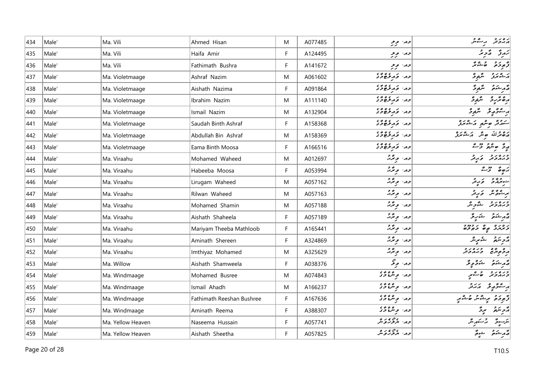| 434 | Male' | Ma. Vili          | Ahmed Hisan               | M  | A077485 | ور وو                                                    | أرەرو بەستەر                                    |
|-----|-------|-------------------|---------------------------|----|---------|----------------------------------------------------------|-------------------------------------------------|
| 435 | Male' | Ma. Vili          | Haifa Amir                | F  | A124495 | وړ٠ وم                                                   | أننهرق الأحرجم                                  |
| 436 | Male' | Ma. Vili          | Fathimath Bushra          | F  | A141672 | وړ٠ وم                                                   | چ شو پر<br>ۇ بور پر                             |
| 437 | Male' | Ma. Violetmaage   | Ashraf Nazim              | M  | A061602 | בו פֿו בשלב                                              | ر ه ه بر د<br>مر شو بر د<br>سگەد                |
| 438 | Male' | Ma. Violetmaage   | Aishath Nazima            | F  | A091864 | בגי פֿגַבּפּבּ                                           | سَّنْجِرَ<br>د مرکز در<br>مرکز مشوحو            |
| 439 | Male' | Ma. Violetmaage   | Ibrahim Nazim             | M  | A111140 | בגי פֿגלפל                                               | ەرھەترىر <sup>ى</sup><br>سَّنْجِرْ              |
| 440 | Male' | Ma. Violetmaage   | Ismail Nazim              | M  | A132904 | בו פֿולפּפּב                                             | ر موځ په شموه                                   |
| 441 | Male' | Ma. Violetmaage   | Saudah Binth Ashraf       | F  | A158368 | $598590 - 15$                                            | سكرتمر وسمع كمشتر                               |
| 442 | Male' | Ma. Violetmaage   | Abdullah Bin Ashraf       | M  | A158369 | בו פֿונבּשַּבְצ                                          | رەداللە ھېر كەھىرو                              |
| 443 | Male' | Ma. Violetmaage   | Eama Binth Moosa          | F  | A166516 | בגי פֿגלש <sup>ב</sup> ז                                 | ړ څه ده په د د م                                |
| 444 | Male' | Ma. Viraahu       | Mohamed Waheed            | M  | A012697 | اور.<br>مسرح محمد                                        | ورەر ئەرگە                                      |
| 445 | Male' | Ma. Viraahu       | Habeeba Moosa             | F  | A053994 | ور. و پژر                                                | برَه صَدَّ حَرْبٌ                               |
| 446 | Male' | Ma. Viraahu       | Lirugam Waheed            | M  | A057162 | ور. وبژر                                                 | أسوهرة وكرير                                    |
| 447 | Male' | Ma. Viraahu       | Rilwan Waheed             | M  | A057163 | وړ٠ وېژبر                                                | برشوشر وبرقر                                    |
| 448 | Male' | Ma. Viraahu       | Mohamed Shamin            | M  | A057188 | اور ویژو<br>است                                          | ورەرو ئەرش                                      |
| 449 | Male' | Ma. Viraahu       | Aishath Shaheela          | F  | A057189 | ور. و پژر                                                | ۇرغۇ غېرۇ                                       |
| 450 | Male' | Ma. Viraahu       | Mariyam Theeba Mathloob   | F  | A165441 | ور. و پژر                                                | נ סנס פי ברבבר<br>בינו <i>נב</i> פים בפיבים     |
| 451 | Male' | Ma. Viraahu       | Aminath Shereen           | F  | A324869 | ور. و پژر                                                | أترجر ستكم المستحيض                             |
| 452 | Male' | Ma. Viraahu       | Imthiyaz Mohamed          | M  | A325629 | وړ٠ وېژبر                                                | و ره ر و<br><i>و پر</i> و تر<br>ە جەمەتىي<br>ئە |
| 453 | Male' | Ma. Willow        | Aishath Shamweela         | F  | A038376 | وړ ، وی                                                  | و<br>د گرېشو ه<br>شوو و گر                      |
| 454 | Male' | Ma. Windmaage     | Mohamed Busree            | M  | A074843 | وړ٠ ومردۍ                                                |                                                 |
| 455 | Male' | Ma. Windmaage     | Ismail Ahadh              | M  | A166237 | وړ٠ و سره وی                                             | وڪوڻيو گند                                      |
| 456 | Male' | Ma. Windmaage     | Fathimath Reeshan Bushree | F  | A167636 | ادر ومقدم                                                | ژودۇ برىشىر ھىيېر                               |
| 457 | Male' | Ma. Windmaage     | Aminath Reema             | F  | A388307 | وړ٠ و سره وی                                             |                                                 |
| 458 | Male' | Ma. Yellow Heaven | Naseema Hussain           | F. | A057741 | ים יפיקים ביותר ביותר ביותר.<br>כוזרי יחיד <i>ביו</i> תר | برسكهرمثر<br>ىئەسەۋ                             |
| 459 | Male' | Ma. Yellow Heaven | Aishath Sheetha           | F  | A057825 | ے می دے رہ<br>حەد بە مرمز <i>س</i> ىر ك                  | و<br>وگرڪو ڪو                                   |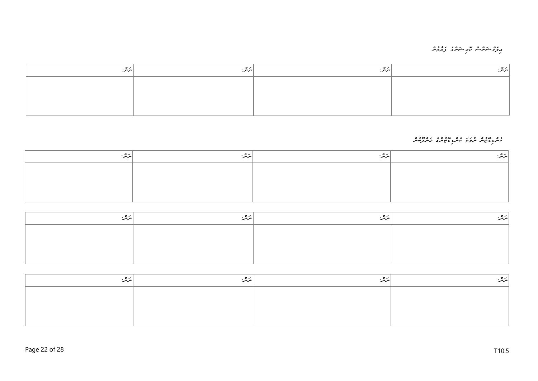## *w7qAn8m?sCw7mRo>u;wEw7mRw;sBo<*

| ' مرمر | 'يئرىثر: |
|--------|----------|
|        |          |
|        |          |
|        |          |

## *w7q9r@w7m>sCw7qHtFoFw7s;mAm=q7w7qHtFoFw7s;*

| ىر تە | $\mathcal{O} \times$<br>$\sim$ | $\sim$<br>. . | لترنثر |
|-------|--------------------------------|---------------|--------|
|       |                                |               |        |
|       |                                |               |        |
|       |                                |               |        |

| انترنثر: | $^{\circ}$ | يبرهر | $^{\circ}$<br>سرسر |
|----------|------------|-------|--------------------|
|          |            |       |                    |
|          |            |       |                    |
|          |            |       |                    |

| ىرتىر: | 。<br>سر سر | .,<br>مرسر |
|--------|------------|------------|
|        |            |            |
|        |            |            |
|        |            |            |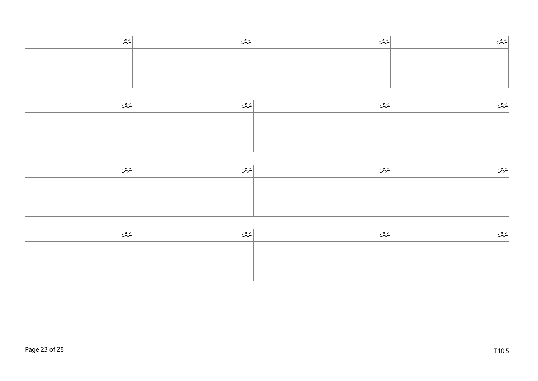| ىزىتر: | $\cdot$ | ىئرىتر: |  |
|--------|---------|---------|--|
|        |         |         |  |
|        |         |         |  |
|        |         |         |  |

| <sup>.</sup> سرسر. |  |
|--------------------|--|
|                    |  |
|                    |  |
|                    |  |

| ىئرىتر. | $\sim$ | ا بر هه. | لىرىش |
|---------|--------|----------|-------|
|         |        |          |       |
|         |        |          |       |
|         |        |          |       |

| 。<br>مرس. | $\overline{\phantom{a}}$<br>مر مىر | يتريثر |
|-----------|------------------------------------|--------|
|           |                                    |        |
|           |                                    |        |
|           |                                    |        |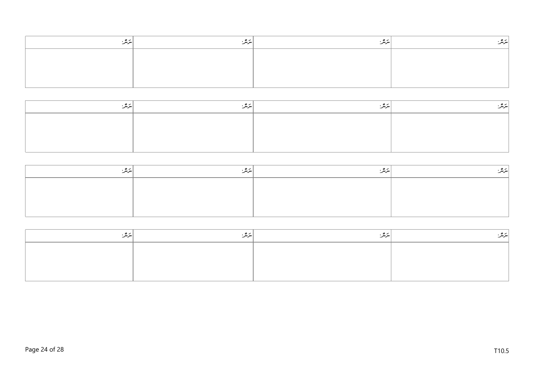| ير هو . | $\overline{\phantom{a}}$ | يرمر | اير هنه. |
|---------|--------------------------|------|----------|
|         |                          |      |          |
|         |                          |      |          |
|         |                          |      |          |

| ئىرتىر: | $\sim$<br>ا سرسر . | يئرمثر | o . |
|---------|--------------------|--------|-----|
|         |                    |        |     |
|         |                    |        |     |
|         |                    |        |     |

| نتزيتر به | 。 | 。<br>سرسر. | o <i>~</i> |
|-----------|---|------------|------------|
|           |   |            |            |
|           |   |            |            |
|           |   |            |            |

|  | . ه |
|--|-----|
|  |     |
|  |     |
|  |     |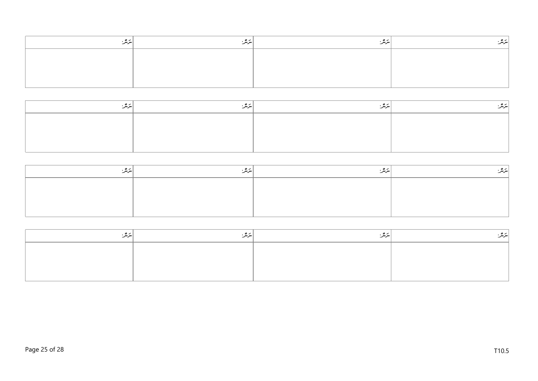| ير هو . | $\overline{\phantom{a}}$ | يرمر | اير هنه. |
|---------|--------------------------|------|----------|
|         |                          |      |          |
|         |                          |      |          |
|         |                          |      |          |

| ئىرتىر: | $\sim$<br>ا سرسر . | يئرمثر | o . |
|---------|--------------------|--------|-----|
|         |                    |        |     |
|         |                    |        |     |
|         |                    |        |     |

| نتزيتر به | 。 | 。<br>سرسر. | o <i>~</i> |
|-----------|---|------------|------------|
|           |   |            |            |
|           |   |            |            |
|           |   |            |            |

|  | . ه |
|--|-----|
|  |     |
|  |     |
|  |     |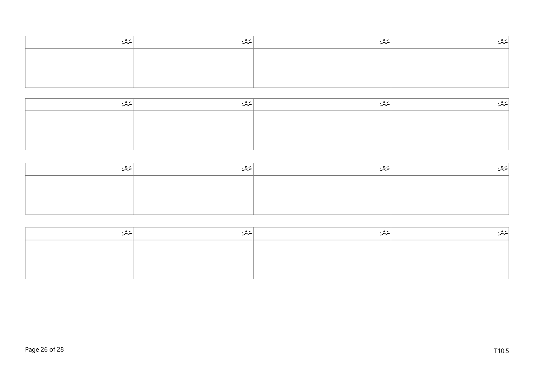| $\cdot$ | ο. | $\frac{\circ}{\cdot}$ | $\sim$<br>سرسر |
|---------|----|-----------------------|----------------|
|         |    |                       |                |
|         |    |                       |                |
|         |    |                       |                |

| ايرعر: | ر ه<br>. . |  |
|--------|------------|--|
|        |            |  |
|        |            |  |
|        |            |  |

| بر ه | 。 | $\sim$<br>َ سومس |  |
|------|---|------------------|--|
|      |   |                  |  |
|      |   |                  |  |
|      |   |                  |  |

| 。<br>. س | ىرىىر |  |
|----------|-------|--|
|          |       |  |
|          |       |  |
|          |       |  |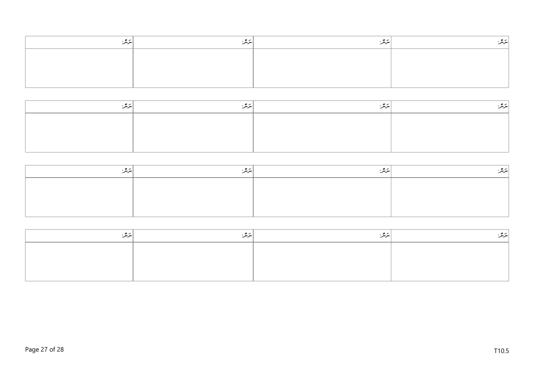| ير هو . | $\overline{\phantom{a}}$ | يرمر | لتزمثن |
|---------|--------------------------|------|--------|
|         |                          |      |        |
|         |                          |      |        |
|         |                          |      |        |

| ئىرتىر: | $\sim$<br>ا سرسر . | يئرمثر | o . |
|---------|--------------------|--------|-----|
|         |                    |        |     |
|         |                    |        |     |
|         |                    |        |     |

| 'تترنثر: | . .<br>يسمونس. |  |
|----------|----------------|--|
|          |                |  |
|          |                |  |
|          |                |  |

|  | . ه |
|--|-----|
|  |     |
|  |     |
|  |     |